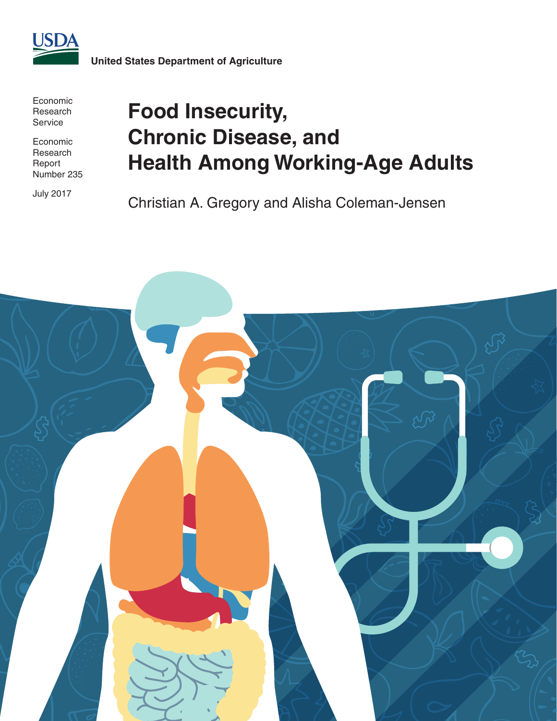

Economic Research Service

Economic Research Report Number 235

July 2017

# **Food Insecurity, Chronic Disease, and Health Among Working-Age Adults**

Christian A. Gregory and Alisha Coleman-Jensen

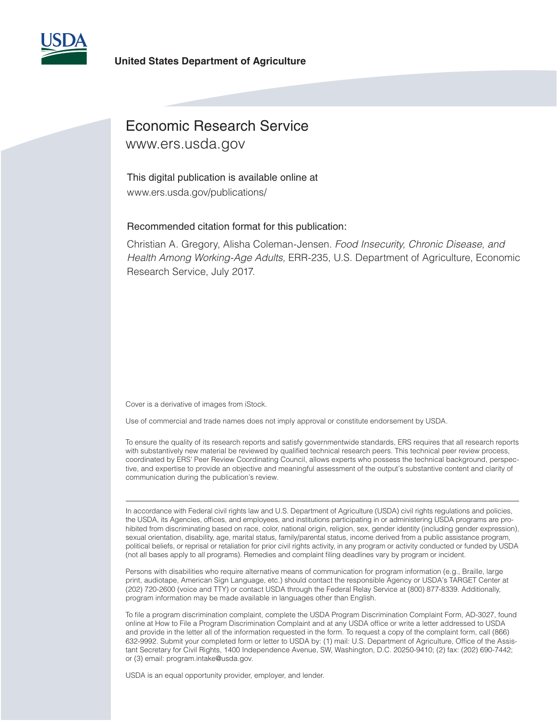

### **United States Department of Agriculture**

# Economic Research Service

www.ers.usda.gov

This digital publication is available online at www.ers.usda.gov/publications/

### Recommended citation format for this publication:

Christian A. Gregory, Alisha Coleman-Jensen. *Food Insecurity, Chronic Disease, and Health Among Working-Age Adults,* ERR-235, U.S. Department of Agriculture, Economic Research Service, July 2017.

Cover is a derivative of images from iStock.

Use of commercial and trade names does not imply approval or constitute endorsement by USDA.

To ensure the quality of its research reports and satisfy governmentwide standards, ERS requires that all research reports with substantively new material be reviewed by qualified technical research peers. This technical peer review process, coordinated by ERS' Peer Review Coordinating Council, allows experts who possess the technical background, perspective, and expertise to provide an objective and meaningful assessment of the output's substantive content and clarity of communication during the publication's review.

In accordance with Federal civil rights law and U.S. Department of Agriculture (USDA) civil rights regulations and policies, the USDA, its Agencies, offices, and employees, and institutions participating in or administering USDA programs are prohibited from discriminating based on race, color, national origin, religion, sex, gender identity (including gender expression), sexual orientation, disability, age, marital status, family/parental status, income derived from a public assistance program, political beliefs, or reprisal or retaliation for prior civil rights activity, in any program or activity conducted or funded by USDA (not all bases apply to all programs). Remedies and complaint filing deadlines vary by program or incident.

Persons with disabilities who require alternative means of communication for program information (e.g., Braille, large print, audiotape, American Sign Language, etc.) should contact the responsible Agency or USDA's TARGET Center at (202) 720-2600 (voice and TTY) or contact USDA through the Federal Relay Service at (800) 877-8339. Additionally, program information may be made available in languages other than English.

To file a program discrimination complaint, complete the USDA Program Discrimination Complaint Form, AD-3027, found online at How to File a Program Discrimination Complaint and at any USDA office or write a letter addressed to USDA and provide in the letter all of the information requested in the form. To request a copy of the complaint form, call (866) 632-9992. Submit your completed form or letter to USDA by: (1) mail: U.S. Department of Agriculture, Office of the Assistant Secretary for Civil Rights, 1400 Independence Avenue, SW, Washington, D.C. 20250-9410; (2) fax: (202) 690-7442; or (3) email: program.intake@usda.gov.

USDA is an equal opportunity provider, employer, and lender.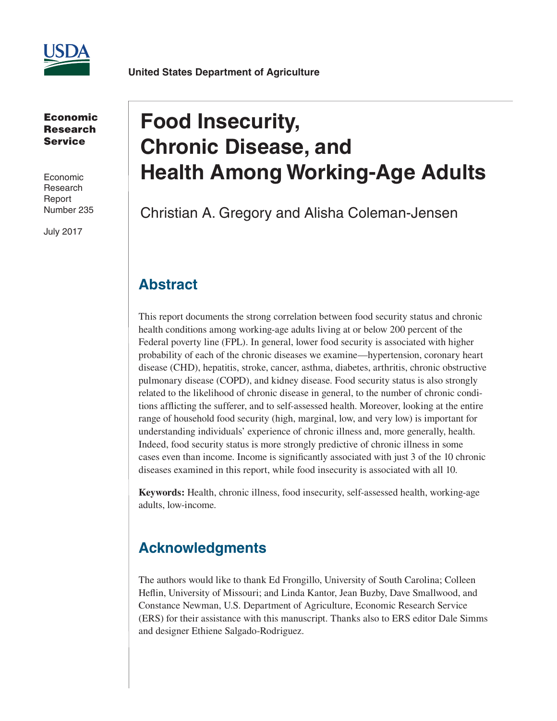

**United States Department of Agriculture**

Economic Research Service

Economic Research Report Number 235

July 2017

# **Food Insecurity, Chronic Disease, and Health Among Working-Age Adults**

Christian A. Gregory and Alisha Coleman-Jensen

## **Abstract**

This report documents the strong correlation between food security status and chronic health conditions among working-age adults living at or below 200 percent of the Federal poverty line (FPL). In general, lower food security is associated with higher probability of each of the chronic diseases we examine—hypertension, coronary heart disease (CHD), hepatitis, stroke, cancer, asthma, diabetes, arthritis, chronic obstructive pulmonary disease (COPD), and kidney disease. Food security status is also strongly related to the likelihood of chronic disease in general, to the number of chronic conditions afflicting the sufferer, and to self-assessed health. Moreover, looking at the entire range of household food security (high, marginal, low, and very low) is important for understanding individuals' experience of chronic illness and, more generally, health. Indeed, food security status is more strongly predictive of chronic illness in some cases even than income. Income is significantly associated with just 3 of the 10 chronic diseases examined in this report, while food insecurity is associated with all 10.

**Keywords:** Health, chronic illness, food insecurity, self-assessed health, working-age adults, low-income.

# **Acknowledgments**

The authors would like to thank Ed Frongillo, University of South Carolina; Colleen Heflin, University of Missouri; and Linda Kantor, Jean Buzby, Dave Smallwood, and Constance Newman, U.S. Department of Agriculture, Economic Research Service (ERS) for their assistance with this manuscript. Thanks also to ERS editor Dale Simms and designer Ethiene Salgado-Rodriguez.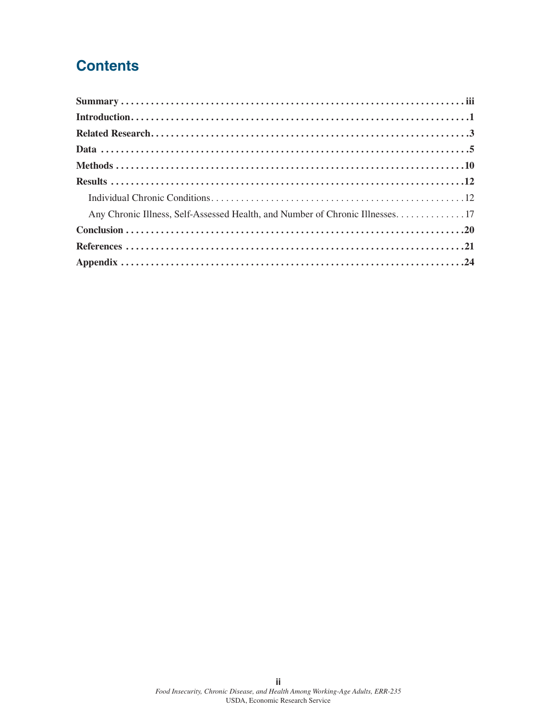# **Contents**

| Any Chronic Illness, Self-Assessed Health, and Number of Chronic Illnesses. 17 |
|--------------------------------------------------------------------------------|
|                                                                                |
|                                                                                |
|                                                                                |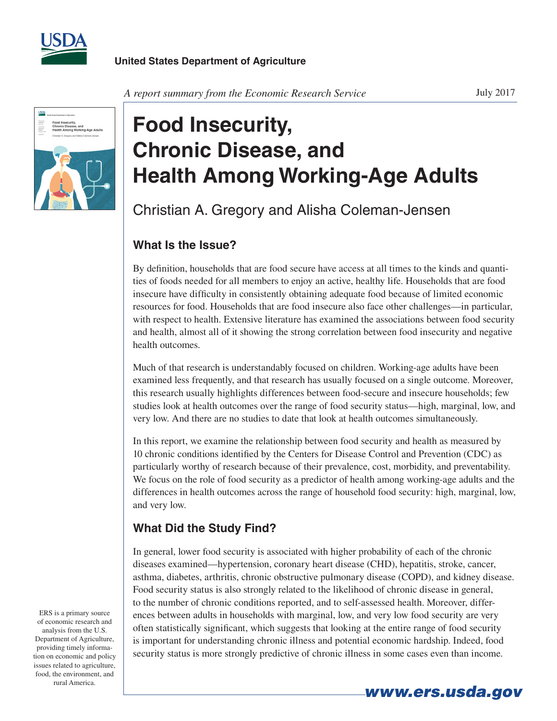

July 2017



# **Food Insecurity, Chronic Disease, and Health Among Working-Age Adults**

Christian A. Gregory and Alisha Coleman-Jensen

## **What Is the Issue?**

By definition, households that are food secure have access at all times to the kinds and quantities of foods needed for all members to enjoy an active, healthy life. Households that are food insecure have difficulty in consistently obtaining adequate food because of limited economic resources for food. Households that are food insecure also face other challenges—in particular, with respect to health. Extensive literature has examined the associations between food security and health, almost all of it showing the strong correlation between food insecurity and negative health outcomes.

Much of that research is understandably focused on children. Working-age adults have been examined less frequently, and that research has usually focused on a single outcome. Moreover, this research usually highlights differences between food-secure and insecure households; few studies look at health outcomes over the range of food security status—high, marginal, low, and very low. And there are no studies to date that look at health outcomes simultaneously.

In this report, we examine the relationship between food security and health as measured by 10 chronic conditions identified by the Centers for Disease Control and Prevention (CDC) as particularly worthy of research because of their prevalence, cost, morbidity, and preventability. We focus on the role of food security as a predictor of health among working-age adults and the differences in health outcomes across the range of household food security: high, marginal, low, and very low.

## **What Did the Study Find?**

In general, lower food security is associated with higher probability of each of the chronic diseases examined—hypertension, coronary heart disease (CHD), hepatitis, stroke, cancer, asthma, diabetes, arthritis, chronic obstructive pulmonary disease (COPD), and kidney disease. Food security status is also strongly related to the likelihood of chronic disease in general, to the number of chronic conditions reported, and to self-assessed health. Moreover, differences between adults in households with marginal, low, and very low food security are very often statistically significant, which suggests that looking at the entire range of food security is important for understanding chronic illness and potential economic hardship. Indeed, food security status is more strongly predictive of chronic illness in some cases even than income.

ERS is a primary source of economic research and analysis from the U.S. Department of Agriculture, providing timely information on economic and policy issues related to agriculture, food, the environment, and rural America.

*www.ers.usda.gov*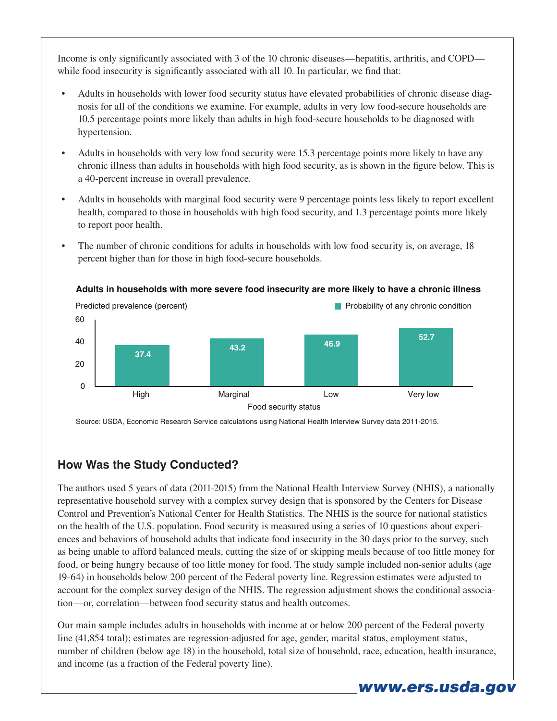Income is only significantly associated with 3 of the 10 chronic diseases—hepatitis, arthritis, and COPD while food insecurity is significantly associated with all 10. In particular, we find that:

- Adults in households with lower food security status have elevated probabilities of chronic disease diagnosis for all of the conditions we examine. For example, adults in very low food-secure households are 10.5 percentage points more likely than adults in high food-secure households to be diagnosed with hypertension.
- Adults in households with very low food security were 15.3 percentage points more likely to have any chronic illness than adults in households with high food security, as is shown in the figure below. This is a 40-percent increase in overall prevalence.
- Adults in households with marginal food security were 9 percentage points less likely to report excellent health, compared to those in households with high food security, and 1.3 percentage points more likely to report poor health.
- The number of chronic conditions for adults in households with low food security is, on average, 18 percent higher than for those in high food-secure households.



### **Adults in households with more severe food insecurity are more likely to have a chronic illness**

Source: USDA, Economic Research Service calculations using National Health Interview Survey data 2011-2015.

## **How Was the Study Conducted?**

The authors used 5 years of data (2011-2015) from the National Health Interview Survey (NHIS), a nationally representative household survey with a complex survey design that is sponsored by the Centers for Disease Control and Prevention's National Center for Health Statistics. The NHIS is the source for national statistics on the health of the U.S. population. Food security is measured using a series of 10 questions about experiences and behaviors of household adults that indicate food insecurity in the 30 days prior to the survey, such as being unable to afford balanced meals, cutting the size of or skipping meals because of too little money for food, or being hungry because of too little money for food. The study sample included non-senior adults (age 19-64) in households below 200 percent of the Federal poverty line. Regression estimates were adjusted to account for the complex survey design of the NHIS. The regression adjustment shows the conditional association—or, correlation—between food security status and health outcomes.

Our main sample includes adults in households with income at or below 200 percent of the Federal poverty line (41,854 total); estimates are regression-adjusted for age, gender, marital status, employment status, number of children (below age 18) in the household, total size of household, race, education, health insurance, and income (as a fraction of the Federal poverty line).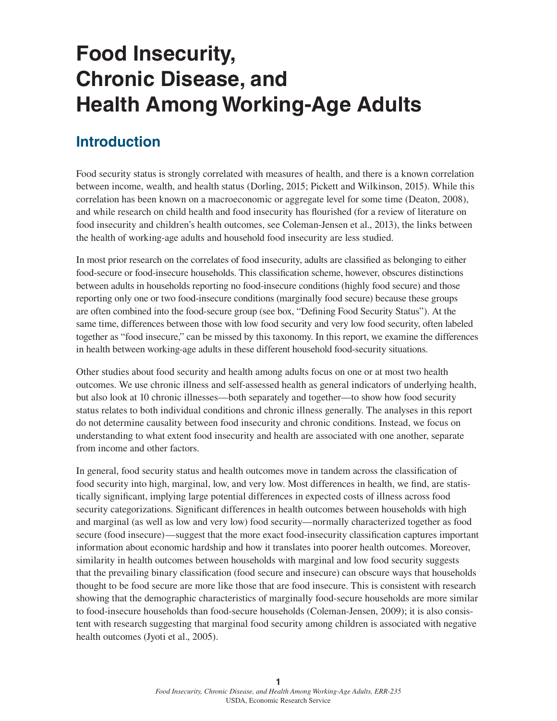# **Food Insecurity, Chronic Disease, and Health Among Working-Age Adults**

## **Introduction**

Food security status is strongly correlated with measures of health, and there is a known correlation between income, wealth, and health status (Dorling, 2015; Pickett and Wilkinson, 2015). While this correlation has been known on a macroeconomic or aggregate level for some time (Deaton, 2008), and while research on child health and food insecurity has flourished (for a review of literature on food insecurity and children's health outcomes, see Coleman-Jensen et al., 2013), the links between the health of working-age adults and household food insecurity are less studied.

In most prior research on the correlates of food insecurity, adults are classified as belonging to either food-secure or food-insecure households. This classification scheme, however, obscures distinctions between adults in households reporting no food-insecure conditions (highly food secure) and those reporting only one or two food-insecure conditions (marginally food secure) because these groups are often combined into the food-secure group (see box, "Defining Food Security Status"). At the same time, differences between those with low food security and very low food security, often labeled together as "food insecure," can be missed by this taxonomy. In this report, we examine the differences in health between working-age adults in these different household food-security situations.

Other studies about food security and health among adults focus on one or at most two health outcomes. We use chronic illness and self-assessed health as general indicators of underlying health, but also look at 10 chronic illnesses—both separately and together—to show how food security status relates to both individual conditions and chronic illness generally. The analyses in this report do not determine causality between food insecurity and chronic conditions. Instead, we focus on understanding to what extent food insecurity and health are associated with one another, separate from income and other factors.

In general, food security status and health outcomes move in tandem across the classification of food security into high, marginal, low, and very low. Most differences in health, we find, are statistically significant, implying large potential differences in expected costs of illness across food security categorizations. Significant differences in health outcomes between households with high and marginal (as well as low and very low) food security—normally characterized together as food secure (food insecure)—suggest that the more exact food-insecurity classification captures important information about economic hardship and how it translates into poorer health outcomes. Moreover, similarity in health outcomes between households with marginal and low food security suggests that the prevailing binary classification (food secure and insecure) can obscure ways that households thought to be food secure are more like those that are food insecure. This is consistent with research showing that the demographic characteristics of marginally food-secure households are more similar to food-insecure households than food-secure households (Coleman-Jensen, 2009); it is also consistent with research suggesting that marginal food security among children is associated with negative health outcomes (Jyoti et al., 2005).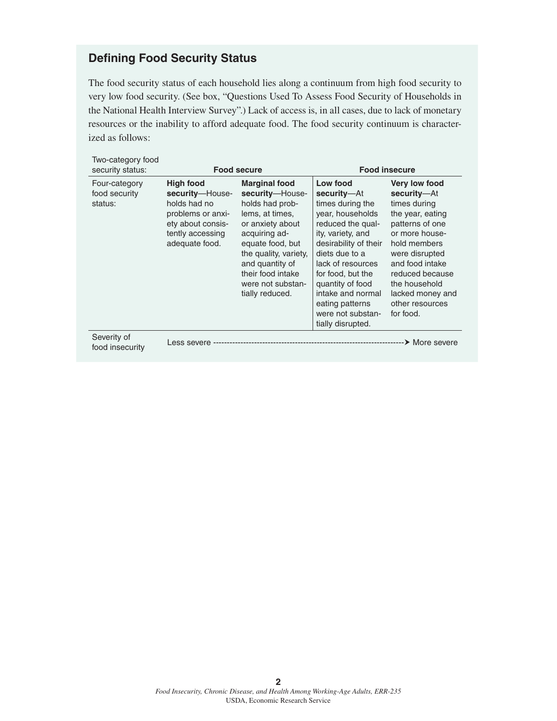## **Defining Food Security Status**

The food security status of each household lies along a continuum from high food security to very low food security. (See box, "Questions Used To Assess Food Security of Households in the National Health Interview Survey".) Lack of access is, in all cases, due to lack of monetary resources or the inability to afford adequate food. The food security continuum is characterized as follows:

| Two-category food<br>security status:     |                                                                                                                              | <b>Food secure</b>                                                                                                                                                                                                                              |                                                                                                                                                                                                                                                                                                      | <b>Food insecure</b>                                                                                                                                                                                                                               |
|-------------------------------------------|------------------------------------------------------------------------------------------------------------------------------|-------------------------------------------------------------------------------------------------------------------------------------------------------------------------------------------------------------------------------------------------|------------------------------------------------------------------------------------------------------------------------------------------------------------------------------------------------------------------------------------------------------------------------------------------------------|----------------------------------------------------------------------------------------------------------------------------------------------------------------------------------------------------------------------------------------------------|
| Four-category<br>food security<br>status: | High food<br>security-House-<br>holds had no<br>problems or anxi-<br>ety about consis-<br>tently accessing<br>adequate food. | <b>Marginal food</b><br>security-House-<br>holds had prob-<br>lems, at times,<br>or anxiety about<br>acquiring ad-<br>equate food, but<br>the quality, variety,<br>and quantity of<br>their food intake<br>were not substan-<br>tially reduced. | Low food<br>security-At<br>times during the<br>year, households<br>reduced the qual-<br>ity, variety, and<br>desirability of their<br>diets due to a<br>lack of resources<br>for food, but the<br>quantity of food<br>intake and normal<br>eating patterns<br>were not substan-<br>tially disrupted. | Very low food<br>security-At<br>times during<br>the year, eating<br>patterns of one<br>or more house-<br>hold members<br>were disrupted<br>and food intake<br>reduced because<br>the household<br>lacked money and<br>other resources<br>for food. |
| Severity of<br>food insecurity            | Less severe -----                                                                                                            |                                                                                                                                                                                                                                                 |                                                                                                                                                                                                                                                                                                      | --> More severe                                                                                                                                                                                                                                    |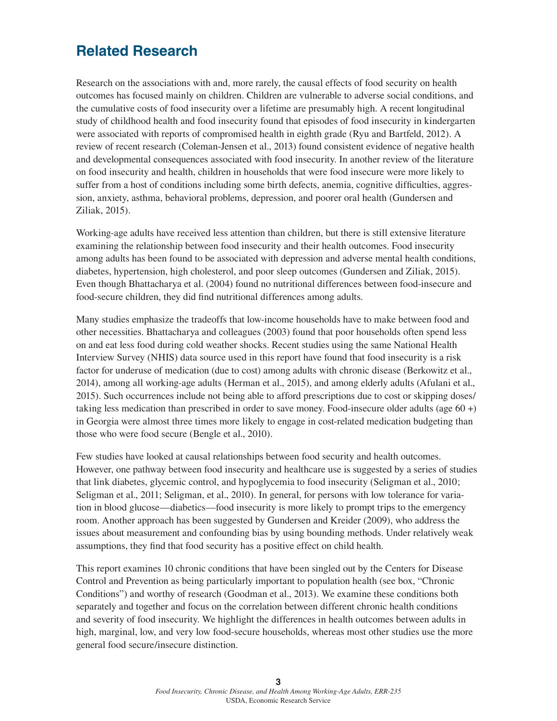## **Related Research**

Research on the associations with and, more rarely, the causal effects of food security on health outcomes has focused mainly on children. Children are vulnerable to adverse social conditions, and the cumulative costs of food insecurity over a lifetime are presumably high. A recent longitudinal study of childhood health and food insecurity found that episodes of food insecurity in kindergarten were associated with reports of compromised health in eighth grade (Ryu and Bartfeld, 2012). A review of recent research (Coleman-Jensen et al., 2013) found consistent evidence of negative health and developmental consequences associated with food insecurity. In another review of the literature on food insecurity and health, children in households that were food insecure were more likely to suffer from a host of conditions including some birth defects, anemia, cognitive difficulties, aggression, anxiety, asthma, behavioral problems, depression, and poorer oral health (Gundersen and Ziliak, 2015).

Working-age adults have received less attention than children, but there is still extensive literature examining the relationship between food insecurity and their health outcomes. Food insecurity among adults has been found to be associated with depression and adverse mental health conditions, diabetes, hypertension, high cholesterol, and poor sleep outcomes (Gundersen and Ziliak, 2015). Even though Bhattacharya et al. (2004) found no nutritional differences between food-insecure and food-secure children, they did find nutritional differences among adults.

Many studies emphasize the tradeoffs that low-income households have to make between food and other necessities. Bhattacharya and colleagues (2003) found that poor households often spend less on and eat less food during cold weather shocks. Recent studies using the same National Health Interview Survey (NHIS) data source used in this report have found that food insecurity is a risk factor for underuse of medication (due to cost) among adults with chronic disease (Berkowitz et al., 2014), among all working-age adults (Herman et al., 2015), and among elderly adults (Afulani et al., 2015). Such occurrences include not being able to afford prescriptions due to cost or skipping doses/ taking less medication than prescribed in order to save money. Food-insecure older adults (age 60 +) in Georgia were almost three times more likely to engage in cost-related medication budgeting than those who were food secure (Bengle et al., 2010).

Few studies have looked at causal relationships between food security and health outcomes. However, one pathway between food insecurity and healthcare use is suggested by a series of studies that link diabetes, glycemic control, and hypoglycemia to food insecurity (Seligman et al., 2010; Seligman et al., 2011; Seligman, et al., 2010). In general, for persons with low tolerance for variation in blood glucose—diabetics—food insecurity is more likely to prompt trips to the emergency room. Another approach has been suggested by Gundersen and Kreider (2009), who address the issues about measurement and confounding bias by using bounding methods. Under relatively weak assumptions, they find that food security has a positive effect on child health.

This report examines 10 chronic conditions that have been singled out by the Centers for Disease Control and Prevention as being particularly important to population health (see box, "Chronic Conditions") and worthy of research (Goodman et al., 2013). We examine these conditions both separately and together and focus on the correlation between different chronic health conditions and severity of food insecurity. We highlight the differences in health outcomes between adults in high, marginal, low, and very low food-secure households, whereas most other studies use the more general food secure/insecure distinction.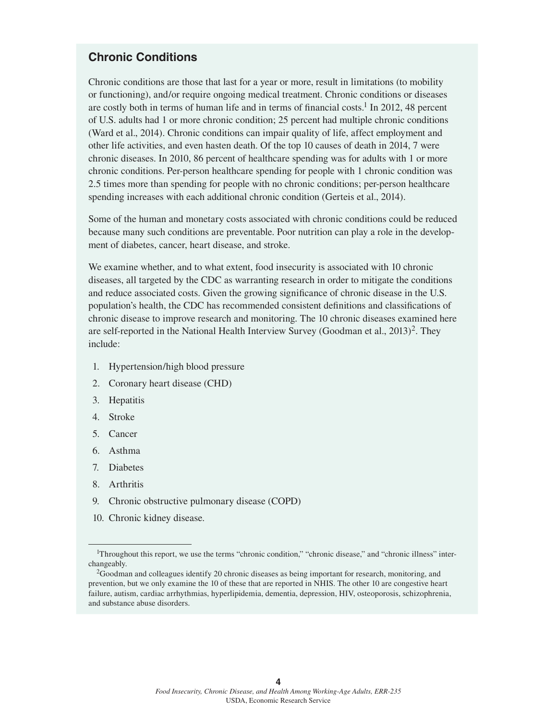## **Chronic Conditions**

Chronic conditions are those that last for a year or more, result in limitations (to mobility or functioning), and/or require ongoing medical treatment. Chronic conditions or diseases are costly both in terms of human life and in terms of financial costs.<sup>1</sup> In 2012, 48 percent of U.S. adults had 1 or more chronic condition; 25 percent had multiple chronic conditions (Ward et al., 2014). Chronic conditions can impair quality of life, affect employment and other life activities, and even hasten death. Of the top 10 causes of death in 2014, 7 were chronic diseases. In 2010, 86 percent of healthcare spending was for adults with 1 or more chronic conditions. Per-person healthcare spending for people with 1 chronic condition was 2.5 times more than spending for people with no chronic conditions; per-person healthcare spending increases with each additional chronic condition (Gerteis et al., 2014).

Some of the human and monetary costs associated with chronic conditions could be reduced because many such conditions are preventable. Poor nutrition can play a role in the development of diabetes, cancer, heart disease, and stroke.

We examine whether, and to what extent, food insecurity is associated with 10 chronic diseases, all targeted by the CDC as warranting research in order to mitigate the conditions and reduce associated costs. Given the growing significance of chronic disease in the U.S. population's health, the CDC has recommended consistent definitions and classifications of chronic disease to improve research and monitoring. The 10 chronic diseases examined here are self-reported in the National Health Interview Survey (Goodman et al., 2013)2. They include:

- 1. Hypertension/high blood pressure
- 2. Coronary heart disease (CHD)
- 3. Hepatitis
- 4. Stroke
- 5. Cancer
- 6. Asthma
- 7. Diabetes
- 8. Arthritis
- 9. Chronic obstructive pulmonary disease (COPD)
- 10. Chronic kidney disease.

<sup>&</sup>lt;sup>1</sup>Throughout this report, we use the terms "chronic condition," "chronic disease," and "chronic illness" interchangeably.

<sup>2</sup>Goodman and colleagues identify 20 chronic diseases as being important for research, monitoring, and prevention, but we only examine the 10 of these that are reported in NHIS. The other 10 are congestive heart failure, autism, cardiac arrhythmias, hyperlipidemia, dementia, depression, HIV, osteoporosis, schizophrenia, and substance abuse disorders.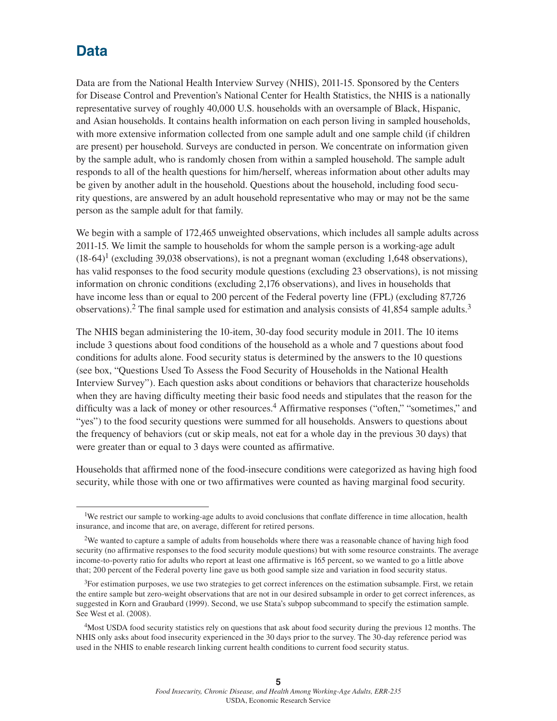## **Data**

Data are from the National Health Interview Survey (NHIS), 2011-15. Sponsored by the Centers for Disease Control and Prevention's National Center for Health Statistics, the NHIS is a nationally representative survey of roughly 40,000 U.S. households with an oversample of Black, Hispanic, and Asian households. It contains health information on each person living in sampled households, with more extensive information collected from one sample adult and one sample child (if children are present) per household. Surveys are conducted in person. We concentrate on information given by the sample adult, who is randomly chosen from within a sampled household. The sample adult responds to all of the health questions for him/herself, whereas information about other adults may be given by another adult in the household. Questions about the household, including food security questions, are answered by an adult household representative who may or may not be the same person as the sample adult for that family.

We begin with a sample of 172,465 unweighted observations, which includes all sample adults across 2011-15. We limit the sample to households for whom the sample person is a working-age adult  $(18-64)^1$  (excluding 39,038 observations), is not a pregnant woman (excluding 1,648 observations), has valid responses to the food security module questions (excluding 23 observations), is not missing information on chronic conditions (excluding 2,176 observations), and lives in households that have income less than or equal to 200 percent of the Federal poverty line (FPL) (excluding 87,726 observations).<sup>2</sup> The final sample used for estimation and analysis consists of 41,854 sample adults.<sup>3</sup>

The NHIS began administering the 10-item, 30-day food security module in 2011. The 10 items include 3 questions about food conditions of the household as a whole and 7 questions about food conditions for adults alone. Food security status is determined by the answers to the 10 questions (see box, "Questions Used To Assess the Food Security of Households in the National Health Interview Survey"). Each question asks about conditions or behaviors that characterize households when they are having difficulty meeting their basic food needs and stipulates that the reason for the difficulty was a lack of money or other resources.<sup>4</sup> Affirmative responses ("often," "sometimes," and "yes") to the food security questions were summed for all households. Answers to questions about the frequency of behaviors (cut or skip meals, not eat for a whole day in the previous 30 days) that were greater than or equal to 3 days were counted as affirmative.

Households that affirmed none of the food-insecure conditions were categorized as having high food security, while those with one or two affirmatives were counted as having marginal food security.

<sup>&</sup>lt;sup>1</sup>We restrict our sample to working-age adults to avoid conclusions that conflate difference in time allocation, health insurance, and income that are, on average, different for retired persons.

<sup>2</sup>We wanted to capture a sample of adults from households where there was a reasonable chance of having high food security (no affirmative responses to the food security module questions) but with some resource constraints. The average income-to-poverty ratio for adults who report at least one affirmative is 165 percent, so we wanted to go a little above that; 200 percent of the Federal poverty line gave us both good sample size and variation in food security status.

<sup>&</sup>lt;sup>3</sup>For estimation purposes, we use two strategies to get correct inferences on the estimation subsample. First, we retain the entire sample but zero-weight observations that are not in our desired subsample in order to get correct inferences, as suggested in Korn and Graubard (1999). Second, we use Stata's subpop subcommand to specify the estimation sample. See West et al. (2008).

<sup>&</sup>lt;sup>4</sup>Most USDA food security statistics rely on questions that ask about food security during the previous 12 months. The NHIS only asks about food insecurity experienced in the 30 days prior to the survey. The 30-day reference period was used in the NHIS to enable research linking current health conditions to current food security status.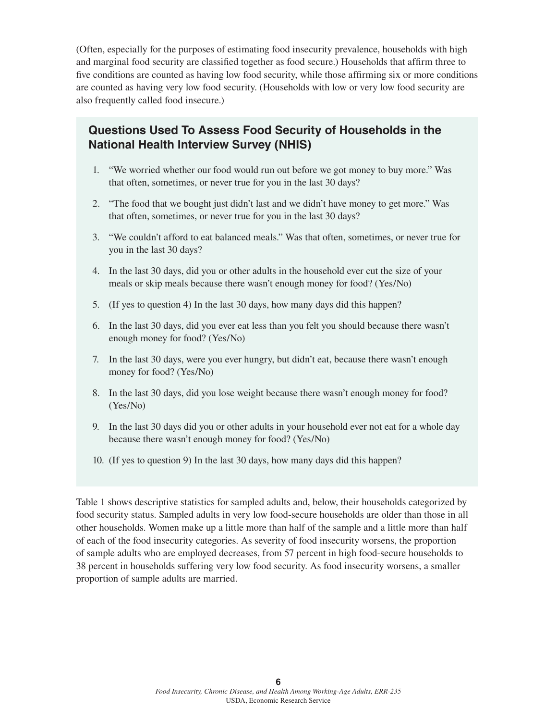(Often, especially for the purposes of estimating food insecurity prevalence, households with high and marginal food security are classified together as food secure.) Households that affirm three to five conditions are counted as having low food security, while those affirming six or more conditions are counted as having very low food security. (Households with low or very low food security are also frequently called food insecure.)

## **Questions Used To Assess Food Security of Households in the National Health Interview Survey (NHIS)**

- 1. "We worried whether our food would run out before we got money to buy more." Was that often, sometimes, or never true for you in the last 30 days?
- 2. "The food that we bought just didn't last and we didn't have money to get more." Was that often, sometimes, or never true for you in the last 30 days?
- 3. "We couldn't afford to eat balanced meals." Was that often, sometimes, or never true for you in the last 30 days?
- 4. In the last 30 days, did you or other adults in the household ever cut the size of your meals or skip meals because there wasn't enough money for food? (Yes/No)
- 5. (If yes to question 4) In the last 30 days, how many days did this happen?
- 6. In the last 30 days, did you ever eat less than you felt you should because there wasn't enough money for food? (Yes/No)
- 7. In the last 30 days, were you ever hungry, but didn't eat, because there wasn't enough money for food? (Yes/No)
- 8. In the last 30 days, did you lose weight because there wasn't enough money for food? (Yes/No)
- 9. In the last 30 days did you or other adults in your household ever not eat for a whole day because there wasn't enough money for food? (Yes/No)
- 10. (If yes to question 9) In the last 30 days, how many days did this happen?

Table 1 shows descriptive statistics for sampled adults and, below, their households categorized by food security status. Sampled adults in very low food-secure households are older than those in all other households. Women make up a little more than half of the sample and a little more than half of each of the food insecurity categories. As severity of food insecurity worsens, the proportion of sample adults who are employed decreases, from 57 percent in high food-secure households to 38 percent in households suffering very low food security. As food insecurity worsens, a smaller proportion of sample adults are married.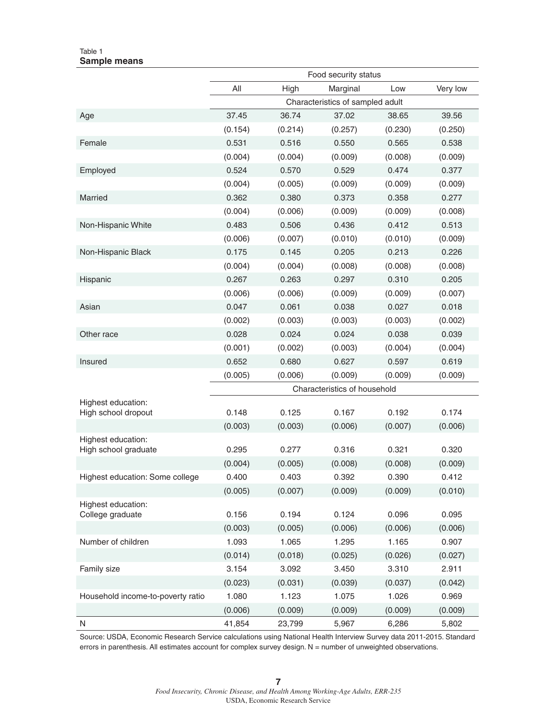#### Table 1 **Sample means**

|                                            | Food security status |         |                                  |         |          |
|--------------------------------------------|----------------------|---------|----------------------------------|---------|----------|
|                                            | All                  | High    | Marginal                         | Low     | Very low |
|                                            |                      |         | Characteristics of sampled adult |         |          |
| Age                                        | 37.45                | 36.74   | 37.02                            | 38.65   | 39.56    |
|                                            | (0.154)              | (0.214) | (0.257)                          | (0.230) | (0.250)  |
| Female                                     | 0.531                | 0.516   | 0.550                            | 0.565   | 0.538    |
|                                            | (0.004)              | (0.004) | (0.009)                          | (0.008) | (0.009)  |
| Employed                                   | 0.524                | 0.570   | 0.529                            | 0.474   | 0.377    |
|                                            | (0.004)              | (0.005) | (0.009)                          | (0.009) | (0.009)  |
| Married                                    | 0.362                | 0.380   | 0.373                            | 0.358   | 0.277    |
|                                            | (0.004)              | (0.006) | (0.009)                          | (0.009) | (0.008)  |
| Non-Hispanic White                         | 0.483                | 0.506   | 0.436                            | 0.412   | 0.513    |
|                                            | (0.006)              | (0.007) | (0.010)                          | (0.010) | (0.009)  |
| Non-Hispanic Black                         | 0.175                | 0.145   | 0.205                            | 0.213   | 0.226    |
|                                            | (0.004)              | (0.004) | (0.008)                          | (0.008) | (0.008)  |
| Hispanic                                   | 0.267                | 0.263   | 0.297                            | 0.310   | 0.205    |
|                                            | (0.006)              | (0.006) | (0.009)                          | (0.009) | (0.007)  |
| Asian                                      | 0.047                | 0.061   | 0.038                            | 0.027   | 0.018    |
|                                            | (0.002)              | (0.003) | (0.003)                          | (0.003) | (0.002)  |
| Other race                                 | 0.028                | 0.024   | 0.024                            | 0.038   | 0.039    |
|                                            | (0.001)              | (0.002) | (0.003)                          | (0.004) | (0.004)  |
| Insured                                    | 0.652                | 0.680   | 0.627                            | 0.597   | 0.619    |
|                                            | (0.005)              | (0.006) | (0.009)                          | (0.009) | (0.009)  |
|                                            |                      |         | Characteristics of household     |         |          |
| Highest education:                         |                      |         |                                  |         |          |
| High school dropout                        | 0.148                | 0.125   | 0.167                            | 0.192   | 0.174    |
|                                            | (0.003)              | (0.003) | (0.006)                          | (0.007) | (0.006)  |
| Highest education:<br>High school graduate | 0.295                | 0.277   | 0.316                            | 0.321   | 0.320    |
|                                            | (0.004)              | (0.005) | (0.008)                          | (0.008) | (0.009)  |
| Highest education: Some college            | 0.400                | 0.403   | 0.392                            | 0.390   | 0.412    |
|                                            | (0.005)              | (0.007) | (0.009)                          | (0.009) | (0.010)  |
| Highest education:                         |                      |         |                                  |         |          |
| College graduate                           | 0.156                | 0.194   | 0.124                            | 0.096   | 0.095    |
|                                            | (0.003)              | (0.005) | (0.006)                          | (0.006) | (0.006)  |
| Number of children                         | 1.093                | 1.065   | 1.295                            | 1.165   | 0.907    |
|                                            | (0.014)              | (0.018) | (0.025)                          | (0.026) | (0.027)  |
| Family size                                | 3.154                | 3.092   | 3.450                            | 3.310   | 2.911    |
|                                            | (0.023)              | (0.031) | (0.039)                          | (0.037) | (0.042)  |
| Household income-to-poverty ratio          | 1.080                | 1.123   | 1.075                            | 1.026   | 0.969    |
|                                            | (0.006)              | (0.009) | (0.009)                          | (0.009) | (0.009)  |
| N                                          | 41,854               | 23,799  | 5,967                            | 6,286   | 5,802    |

Source: USDA, Economic Research Service calculations using National Health Interview Survey data 2011-2015. Standard errors in parenthesis. All estimates account for complex survey design. N = number of unweighted observations.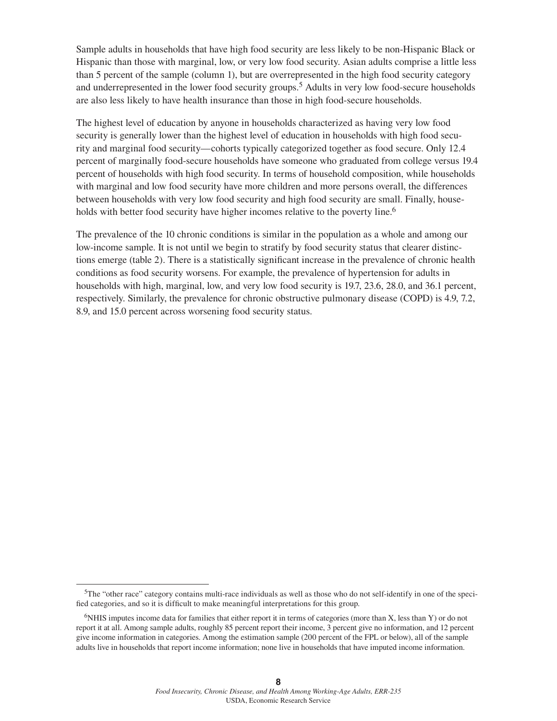Sample adults in households that have high food security are less likely to be non-Hispanic Black or Hispanic than those with marginal, low, or very low food security. Asian adults comprise a little less than 5 percent of the sample (column 1), but are overrepresented in the high food security category and underrepresented in the lower food security groups.<sup>5</sup> Adults in very low food-secure households are also less likely to have health insurance than those in high food-secure households.

The highest level of education by anyone in households characterized as having very low food security is generally lower than the highest level of education in households with high food security and marginal food security—cohorts typically categorized together as food secure. Only 12.4 percent of marginally food-secure households have someone who graduated from college versus 19.4 percent of households with high food security. In terms of household composition, while households with marginal and low food security have more children and more persons overall, the differences between households with very low food security and high food security are small. Finally, households with better food security have higher incomes relative to the poverty line.<sup>6</sup>

The prevalence of the 10 chronic conditions is similar in the population as a whole and among our low-income sample. It is not until we begin to stratify by food security status that clearer distinctions emerge (table 2). There is a statistically significant increase in the prevalence of chronic health conditions as food security worsens. For example, the prevalence of hypertension for adults in households with high, marginal, low, and very low food security is 19.7, 23.6, 28.0, and 36.1 percent, respectively. Similarly, the prevalence for chronic obstructive pulmonary disease (COPD) is 4.9, 7.2, 8.9, and 15.0 percent across worsening food security status.

<sup>5</sup>The "other race" category contains multi-race individuals as well as those who do not self-identify in one of the specified categories, and so it is difficult to make meaningful interpretations for this group.

<sup>6</sup>NHIS imputes income data for families that either report it in terms of categories (more than X, less than Y) or do not report it at all. Among sample adults, roughly 85 percent report their income, 3 percent give no information, and 12 percent give income information in categories. Among the estimation sample (200 percent of the FPL or below), all of the sample adults live in households that report income information; none live in households that have imputed income information.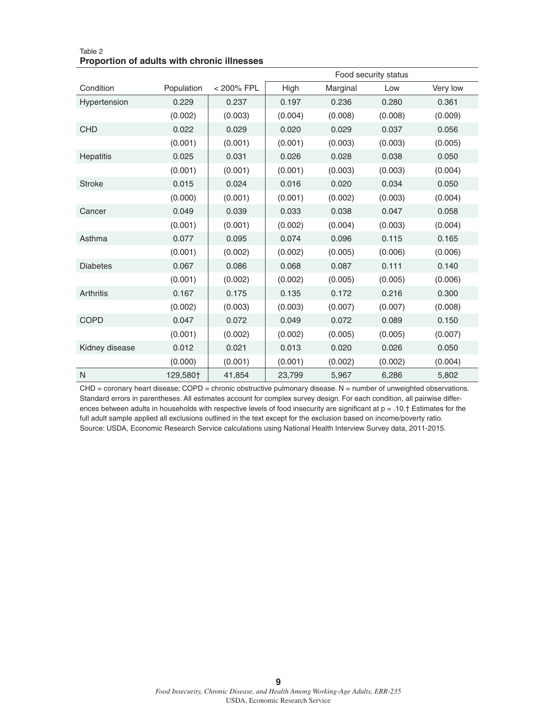|                  |            |            |         |          | Food security status |          |
|------------------|------------|------------|---------|----------|----------------------|----------|
| Condition        | Population | < 200% FPL | High    | Marginal | Low                  | Very low |
| Hypertension     | 0.229      | 0.237      | 0.197   | 0.236    | 0.280                | 0.361    |
|                  | (0.002)    | (0.003)    | (0.004) | (0.008)  | (0.008)              | (0.009)  |
| <b>CHD</b>       | 0.022      | 0.029      | 0.020   | 0.029    | 0.037                | 0.056    |
|                  | (0.001)    | (0.001)    | (0.001) | (0.003)  | (0.003)              | (0.005)  |
| <b>Hepatitis</b> | 0.025      | 0.031      | 0.026   | 0.028    | 0.038                | 0.050    |
|                  | (0.001)    | (0.001)    | (0.001) | (0.003)  | (0.003)              | (0.004)  |
| <b>Stroke</b>    | 0.015      | 0.024      | 0.016   | 0.020    | 0.034                | 0.050    |
|                  | (0.000)    | (0.001)    | (0.001) | (0.002)  | (0.003)              | (0.004)  |
| Cancer           | 0.049      | 0.039      | 0.033   | 0.038    | 0.047                | 0.058    |
|                  | (0.001)    | (0.001)    | (0.002) | (0.004)  | (0.003)              | (0.004)  |
| Asthma           | 0.077      | 0.095      | 0.074   | 0.096    | 0.115                | 0.165    |
|                  | (0.001)    | (0.002)    | (0.002) | (0.005)  | (0.006)              | (0.006)  |
| <b>Diabetes</b>  | 0.067      | 0.086      | 0.068   | 0.087    | 0.111                | 0.140    |
|                  | (0.001)    | (0.002)    | (0.002) | (0.005)  | (0.005)              | (0.006)  |
| Arthritis        | 0.167      | 0.175      | 0.135   | 0.172    | 0.216                | 0.300    |
|                  | (0.002)    | (0.003)    | (0.003) | (0.007)  | (0.007)              | (0.008)  |
| <b>COPD</b>      | 0.047      | 0.072      | 0.049   | 0.072    | 0.089                | 0.150    |
|                  | (0.001)    | (0.002)    | (0.002) | (0.005)  | (0.005)              | (0.007)  |
| Kidney disease   | 0.012      | 0.021      | 0.013   | 0.020    | 0.026                | 0.050    |
|                  | (0.000)    | (0.001)    | (0.001) | (0.002)  | (0.002)              | (0.004)  |
| $\mathsf{N}$     | 129,580†   | 41,854     | 23,799  | 5,967    | 6,286                | 5,802    |

Table 2 **Proportion of adults with chronic illnesses**

 $CHD =$  coronary heart disease;  $COPD =$  chronic obstructive pulmonary disease. N = number of unweighted observations. Standard errors in parentheses. All estimates account for complex survey design. For each condition, all pairwise differences between adults in households with respective levels of food insecurity are significant at  $p = .10.†$  Estimates for the full adult sample applied all exclusions outlined in the text except for the exclusion based on income/poverty ratio. Source: USDA, Economic Research Service calculations using National Health Interview Survey data, 2011-2015.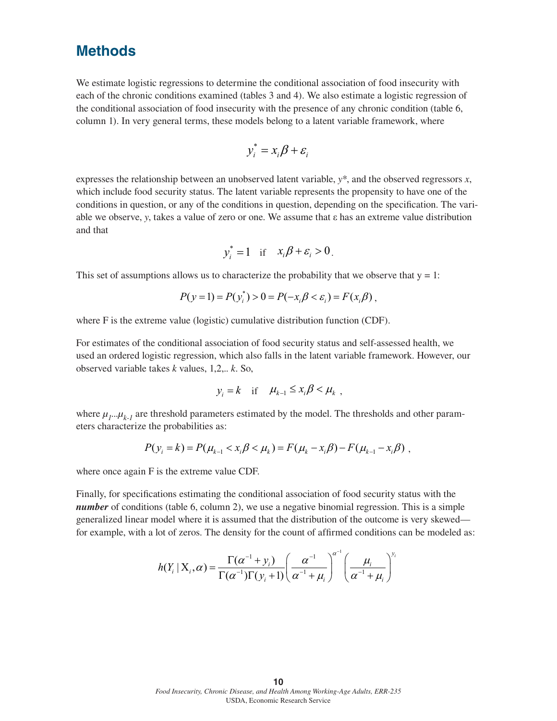## **Methods**

We estimate logistic regressions to determine the conditional association of food insecurity with each of the chronic conditions examined (tables 3 and 4). We also estimate a logistic regression of the conditional association of food insecurity with the presence of any chronic condition (table 6, column 1). In very general terms, these models belong to a latent variable framework, where

$$
y_i^* = x_i \beta + \varepsilon_i
$$

expresses the relationship between an unobserved latent variable, *y*\*, and the observed regressors *x*, which include food security status. The latent variable represents the propensity to have one of the conditions in question, or any of the conditions in question, depending on the specification. The variable we observe, *y*, takes a value of zero or one. We assume that ε has an extreme value distribution and that

$$
y_i^* = 1 \quad \text{if} \quad x_i \beta + \varepsilon_i > 0.
$$

This set of assumptions allows us to characterize the probability that we observe that  $y = 1$ :

$$
P(y=1) = P(y_i^*) > 0 = P(-x_i\beta < \varepsilon_i) = F(x_i\beta),
$$

where F is the extreme value (logistic) cumulative distribution function (CDF).

For estimates of the conditional association of food security status and self-assessed health, we used an ordered logistic regression, which also falls in the latent variable framework. However, our observed variable takes *k* values, 1,2,.. *k*. So,

$$
y_i = k \quad \text{if} \quad \mu_{k-1} \le x_i \beta < \mu_k \ ,
$$

where  $\mu_1...\mu_{k-1}$  are threshold parameters estimated by the model. The thresholds and other parameters characterize the probabilities as:

$$
P(y_i = k) = P(\mu_{k-1} < x_i \beta < \mu_k) = F(\mu_k - x_i \beta) - F(\mu_{k-1} - x_i \beta) \, ,
$$

where once again F is the extreme value CDF.

Finally, for specifications estimating the conditional association of food security status with the *number* of conditions (table 6, column 2), we use a negative binomial regression. This is a simple generalized linear model where it is assumed that the distribution of the outcome is very skewed for example, with a lot of zeros. The density for the count of affirmed conditions can be modeled as:

$$
h(Y_i | X_i, \alpha) = \frac{\Gamma(\alpha^{-1} + y_i)}{\Gamma(\alpha^{-1})\Gamma(y_i + 1)} \left(\frac{\alpha^{-1}}{\alpha^{-1} + \mu_i}\right)^{\alpha^{-1}} \left(\frac{\mu_i}{\alpha^{-1} + \mu_i}\right)^{y_i}
$$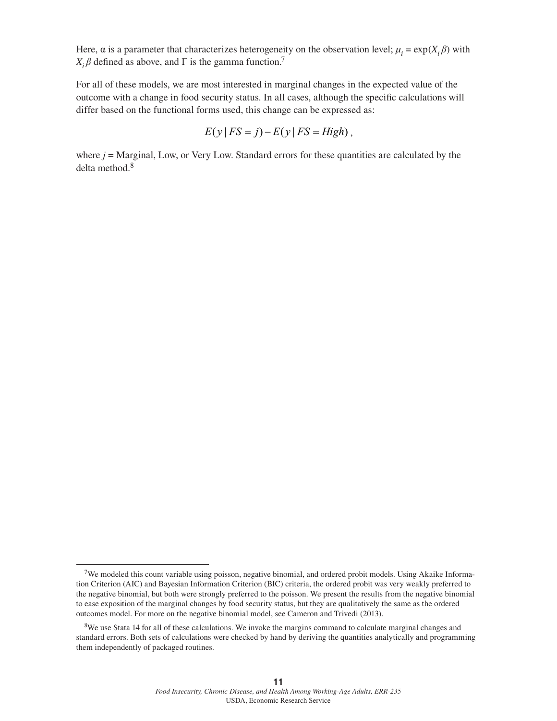Here,  $\alpha$  is a parameter that characterizes heterogeneity on the observation level;  $\mu_i = \exp(X_i \beta)$  with  $X_i$  $\beta$  defined as above, and  $\Gamma$  is the gamma function.<sup>7</sup>

For all of these models, we are most interested in marginal changes in the expected value of the outcome with a change in food security status. In all cases, although the specific calculations will differ based on the functional forms used, this change can be expressed as:

$$
E(y | FS = j) - E(y | FS = High),
$$

where  $j$  = Marginal, Low, or Very Low. Standard errors for these quantities are calculated by the delta method.<sup>8</sup>

<sup>7</sup>We modeled this count variable using poisson, negative binomial, and ordered probit models. Using Akaike Information Criterion (AIC) and Bayesian Information Criterion (BIC) criteria, the ordered probit was very weakly preferred to the negative binomial, but both were strongly preferred to the poisson. We present the results from the negative binomial to ease exposition of the marginal changes by food security status, but they are qualitatively the same as the ordered outcomes model. For more on the negative binomial model, see Cameron and Trivedi (2013).

<sup>&</sup>lt;sup>8</sup>We use Stata 14 for all of these calculations. We invoke the margins command to calculate marginal changes and standard errors. Both sets of calculations were checked by hand by deriving the quantities analytically and programming them independently of packaged routines.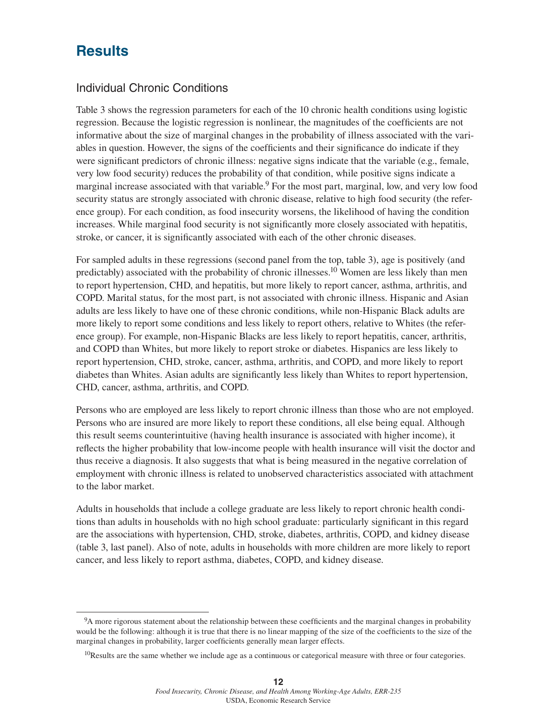## **Results**

## Individual Chronic Conditions

Table 3 shows the regression parameters for each of the 10 chronic health conditions using logistic regression. Because the logistic regression is nonlinear, the magnitudes of the coefficients are not informative about the size of marginal changes in the probability of illness associated with the variables in question. However, the signs of the coefficients and their significance do indicate if they were significant predictors of chronic illness: negative signs indicate that the variable (e.g., female, very low food security) reduces the probability of that condition, while positive signs indicate a marginal increase associated with that variable.<sup>9</sup> For the most part, marginal, low, and very low food security status are strongly associated with chronic disease, relative to high food security (the reference group). For each condition, as food insecurity worsens, the likelihood of having the condition increases. While marginal food security is not significantly more closely associated with hepatitis, stroke, or cancer, it is significantly associated with each of the other chronic diseases.

For sampled adults in these regressions (second panel from the top, table 3), age is positively (and predictably) associated with the probability of chronic illnesses.10 Women are less likely than men to report hypertension, CHD, and hepatitis, but more likely to report cancer, asthma, arthritis, and COPD. Marital status, for the most part, is not associated with chronic illness. Hispanic and Asian adults are less likely to have one of these chronic conditions, while non-Hispanic Black adults are more likely to report some conditions and less likely to report others, relative to Whites (the reference group). For example, non-Hispanic Blacks are less likely to report hepatitis, cancer, arthritis, and COPD than Whites, but more likely to report stroke or diabetes. Hispanics are less likely to report hypertension, CHD, stroke, cancer, asthma, arthritis, and COPD, and more likely to report diabetes than Whites. Asian adults are significantly less likely than Whites to report hypertension, CHD, cancer, asthma, arthritis, and COPD.

Persons who are employed are less likely to report chronic illness than those who are not employed. Persons who are insured are more likely to report these conditions, all else being equal. Although this result seems counterintuitive (having health insurance is associated with higher income), it reflects the higher probability that low-income people with health insurance will visit the doctor and thus receive a diagnosis. It also suggests that what is being measured in the negative correlation of employment with chronic illness is related to unobserved characteristics associated with attachment to the labor market.

Adults in households that include a college graduate are less likely to report chronic health conditions than adults in households with no high school graduate: particularly significant in this regard are the associations with hypertension, CHD, stroke, diabetes, arthritis, COPD, and kidney disease (table 3, last panel). Also of note, adults in households with more children are more likely to report cancer, and less likely to report asthma, diabetes, COPD, and kidney disease.

<sup>9</sup>A more rigorous statement about the relationship between these coefficients and the marginal changes in probability would be the following: although it is true that there is no linear mapping of the size of the coefficients to the size of the marginal changes in probability, larger coefficients generally mean larger effects.

 $10$ Results are the same whether we include age as a continuous or categorical measure with three or four categories.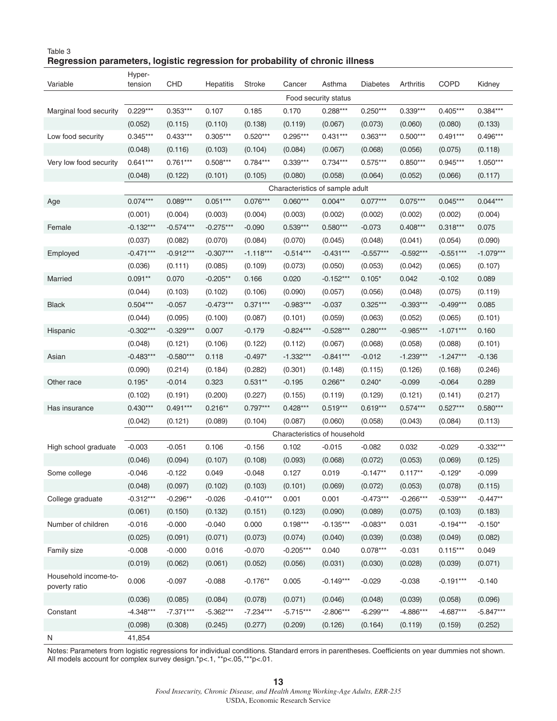#### Table 3 **Regression parameters, logistic regression for probability of chronic illness**

|                                       | Hyper-               |             |                  |               |                                 |             |                 |             |             |             |
|---------------------------------------|----------------------|-------------|------------------|---------------|---------------------------------|-------------|-----------------|-------------|-------------|-------------|
| Variable                              | tension              | CHD         | <b>Hepatitis</b> | <b>Stroke</b> | Cancer                          | Asthma      | <b>Diabetes</b> | Arthritis   | <b>COPD</b> | Kidney      |
|                                       | Food security status |             |                  |               |                                 |             |                 |             |             |             |
| Marginal food security                | $0.229***$           | $0.353***$  | 0.107            | 0.185         | 0.170                           | 0.288***    | $0.250***$      | $0.339***$  | $0.405***$  | 0.384***    |
|                                       | (0.052)              | (0.115)     | (0.110)          | (0.138)       | (0.119)                         | (0.067)     | (0.073)         | (0.060)     | (0.080)     | (0.133)     |
| Low food security                     | $0.345***$           | $0.433***$  | $0.305***$       | $0.520***$    | $0.295***$                      | $0.431***$  | $0.363***$      | $0.500***$  | $0.491***$  | $0.496***$  |
|                                       | (0.048)              | (0.116)     | (0.103)          | (0.104)       | (0.084)                         | (0.067)     | (0.068)         | (0.056)     | (0.075)     | (0.118)     |
| Very low food security                | $0.641***$           | $0.761***$  | $0.508***$       | $0.784***$    | $0.339***$                      | $0.734***$  | $0.575***$      | $0.850***$  | 0.945***    | $1.050***$  |
|                                       | (0.048)              | (0.122)     | (0.101)          | (0.105)       | (0.080)                         | (0.058)     | (0.064)         | (0.052)     | (0.066)     | (0.117)     |
|                                       |                      |             |                  |               | Characteristics of sample adult |             |                 |             |             |             |
| Age                                   | $0.074***$           | $0.089***$  | $0.051***$       | $0.076***$    | $0.060***$                      | $0.004**$   | $0.077***$      | $0.075***$  | $0.045***$  | $0.044***$  |
|                                       | (0.001)              | (0.004)     | (0.003)          | (0.004)       | (0.003)                         | (0.002)     | (0.002)         | (0.002)     | (0.002)     | (0.004)     |
| Female                                | $-0.132***$          | $-0.574***$ | $-0.275***$      | $-0.090$      | $0.539***$                      | $0.580***$  | $-0.073$        | $0.408***$  | $0.318***$  | 0.075       |
|                                       | (0.037)              | (0.082)     | (0.070)          | (0.084)       | (0.070)                         | (0.045)     | (0.048)         | (0.041)     | (0.054)     | (0.090)     |
| Employed                              | $-0.471***$          | $-0.912***$ | $-0.307***$      | $-1.118***$   | $-0.514***$                     | $-0.431***$ | $-0.557***$     | $-0.592***$ | $-0.551***$ | $-1.079***$ |
|                                       | (0.036)              | (0.111)     | (0.085)          | (0.109)       | (0.073)                         | (0.050)     | (0.053)         | (0.042)     | (0.065)     | (0.107)     |
| Married                               | $0.091**$            | 0.070       | $-0.205**$       | 0.166         | 0.020                           | $-0.152***$ | $0.105*$        | 0.042       | $-0.102$    | 0.089       |
|                                       | (0.044)              | (0.103)     | (0.102)          | (0.106)       | (0.090)                         | (0.057)     | (0.056)         | (0.048)     | (0.075)     | (0.119)     |
| <b>Black</b>                          | $0.504***$           | $-0.057$    | $-0.473***$      | $0.371***$    | $-0.983***$                     | $-0.037$    | $0.325***$      | $-0.393***$ | $-0.499***$ | 0.085       |
|                                       | (0.044)              | (0.095)     | (0.100)          | (0.087)       | (0.101)                         | (0.059)     | (0.063)         | (0.052)     | (0.065)     | (0.101)     |
| Hispanic                              | $-0.302***$          | $-0.329***$ | 0.007            | $-0.179$      | $-0.824***$                     | $-0.528***$ | $0.280***$      | $-0.985***$ | $-1.071***$ | 0.160       |
|                                       | (0.048)              | (0.121)     | (0.106)          | (0.122)       | (0.112)                         | (0.067)     | (0.068)         | (0.058)     | (0.088)     | (0.101)     |
| Asian                                 | $-0.483***$          | $-0.580***$ | 0.118            | $-0.497*$     | $-1.332***$                     | $-0.841***$ | $-0.012$        | $-1.239***$ | $-1.247***$ | $-0.136$    |
|                                       | (0.090)              | (0.214)     | (0.184)          | (0.282)       | (0.301)                         | (0.148)     | (0.115)         | (0.126)     | (0.168)     | (0.246)     |
| Other race                            | $0.195*$             | $-0.014$    | 0.323            | $0.531**$     | $-0.195$                        | $0.266**$   | $0.240*$        | $-0.099$    | $-0.064$    | 0.289       |
|                                       | (0.102)              | (0.191)     | (0.200)          | (0.227)       | (0.155)                         | (0.119)     | (0.129)         | (0.121)     | (0.141)     | (0.217)     |
| Has insurance                         | $0.430***$           | $0.491***$  | $0.216**$        | $0.797***$    | $0.428***$                      | $0.519***$  | $0.619***$      | $0.574***$  | $0.527***$  | $0.580***$  |
|                                       | (0.042)              | (0.121)     | (0.089)          | (0.104)       | (0.087)                         | (0.060)     | (0.058)         | (0.043)     | (0.084)     | (0.113)     |
|                                       |                      |             |                  |               | Characteristics of household    |             |                 |             |             |             |
| High school graduate                  | $-0.003$             | $-0.051$    | 0.106            | $-0.156$      | 0.102                           | $-0.015$    | $-0.082$        | 0.032       | $-0.029$    | $-0.332***$ |
|                                       | (0.046)              | (0.094)     | (0.107)          | (0.108)       | (0.093)                         | (0.068)     | (0.072)         | (0.053)     | (0.069)     | (0.125)     |
| Some college                          | $-0.046$             | $-0.122$    | 0.049            | $-0.048$      | 0.127                           | 0.019       | $-0.147**$      | $0.117**$   | $-0.129*$   | $-0.099$    |
|                                       | (0.048)              | (0.097)     | (0.102)          | (0.103)       | (0.101)                         | (0.069)     | (0.072)         | (0.053)     | (0.078)     | (0.115)     |
| College graduate                      | $-0.312***$          | $-0.296**$  | $-0.026$         | $-0.410***$   | 0.001                           | 0.001       | $-0.473***$     | $-0.266***$ | $-0.539***$ | $-0.447**$  |
|                                       | (0.061)              | (0.150)     | (0.132)          | (0.151)       | (0.123)                         | (0.090)     | (0.089)         | (0.075)     | (0.103)     | (0.183)     |
| Number of children                    | $-0.016$             | $-0.000$    | $-0.040$         | 0.000         | $0.198***$                      | $-0.135***$ | $-0.083**$      | 0.031       | $-0.194***$ | $-0.150*$   |
|                                       | (0.025)              | (0.091)     | (0.071)          | (0.073)       | (0.074)                         | (0.040)     | (0.039)         | (0.038)     | (0.049)     | (0.082)     |
| Family size                           | $-0.008$             | $-0.000$    | 0.016            | $-0.070$      | $-0.205***$                     | 0.040       | $0.078***$      | $-0.031$    | $0.115***$  | 0.049       |
|                                       | (0.019)              | (0.062)     | (0.061)          | (0.052)       | (0.056)                         | (0.031)     | (0.030)         | (0.028)     | (0.039)     | (0.071)     |
| Household income-to-<br>poverty ratio | 0.006                | $-0.097$    | $-0.088$         | $-0.176**$    | 0.005                           | $-0.149***$ | $-0.029$        | $-0.038$    | $-0.191***$ | $-0.140$    |
|                                       | (0.036)              | (0.085)     | (0.084)          | (0.078)       | (0.071)                         | (0.046)     | (0.048)         | (0.039)     | (0.058)     | (0.096)     |
| Constant                              | $-4.348***$          | $-7.371***$ | $-5.362***$      | $-7.234***$   | $-5.715***$                     | $-2.806***$ | $-6.299***$     | $-4.886***$ | $-4.687***$ | $-5.847***$ |
|                                       | (0.098)              | (0.308)     | (0.245)          | (0.277)       | (0.209)                         | (0.126)     | (0.164)         | (0.119)     | (0.159)     | (0.252)     |
| N                                     | 41,854               |             |                  |               |                                 |             |                 |             |             |             |

Notes: Parameters from logistic regressions for individual conditions. Standard errors in parentheses. Coefficients on year dummies not shown. All models account for complex survey design.\*p<.1, \*\*p<.05,\*\*\*p<.01.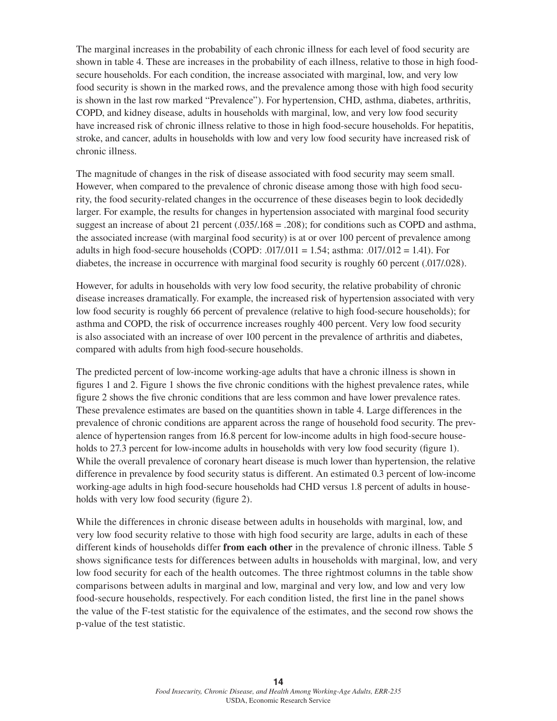The marginal increases in the probability of each chronic illness for each level of food security are shown in table 4. These are increases in the probability of each illness, relative to those in high foodsecure households. For each condition, the increase associated with marginal, low, and very low food security is shown in the marked rows, and the prevalence among those with high food security is shown in the last row marked "Prevalence"). For hypertension, CHD, asthma, diabetes, arthritis, COPD, and kidney disease, adults in households with marginal, low, and very low food security have increased risk of chronic illness relative to those in high food-secure households. For hepatitis, stroke, and cancer, adults in households with low and very low food security have increased risk of chronic illness.

The magnitude of changes in the risk of disease associated with food security may seem small. However, when compared to the prevalence of chronic disease among those with high food security, the food security-related changes in the occurrence of these diseases begin to look decidedly larger. For example, the results for changes in hypertension associated with marginal food security suggest an increase of about 21 percent  $(.035/.168 = .208)$ ; for conditions such as COPD and asthma, the associated increase (with marginal food security) is at or over 100 percent of prevalence among adults in high food-secure households (COPD: .017/.011 = 1.54; asthma: .017/.012 = 1.41). For diabetes, the increase in occurrence with marginal food security is roughly 60 percent (.017/.028).

However, for adults in households with very low food security, the relative probability of chronic disease increases dramatically. For example, the increased risk of hypertension associated with very low food security is roughly 66 percent of prevalence (relative to high food-secure households); for asthma and COPD, the risk of occurrence increases roughly 400 percent. Very low food security is also associated with an increase of over 100 percent in the prevalence of arthritis and diabetes, compared with adults from high food-secure households.

The predicted percent of low-income working-age adults that have a chronic illness is shown in figures 1 and 2. Figure 1 shows the five chronic conditions with the highest prevalence rates, while figure 2 shows the five chronic conditions that are less common and have lower prevalence rates. These prevalence estimates are based on the quantities shown in table 4. Large differences in the prevalence of chronic conditions are apparent across the range of household food security. The prevalence of hypertension ranges from 16.8 percent for low-income adults in high food-secure households to 27.3 percent for low-income adults in households with very low food security (figure 1). While the overall prevalence of coronary heart disease is much lower than hypertension, the relative difference in prevalence by food security status is different. An estimated 0.3 percent of low-income working-age adults in high food-secure households had CHD versus 1.8 percent of adults in households with very low food security (figure 2).

While the differences in chronic disease between adults in households with marginal, low, and very low food security relative to those with high food security are large, adults in each of these different kinds of households differ **from each other** in the prevalence of chronic illness. Table 5 shows significance tests for differences between adults in households with marginal, low, and very low food security for each of the health outcomes. The three rightmost columns in the table show comparisons between adults in marginal and low, marginal and very low, and low and very low food-secure households, respectively. For each condition listed, the first line in the panel shows the value of the F-test statistic for the equivalence of the estimates, and the second row shows the p-value of the test statistic.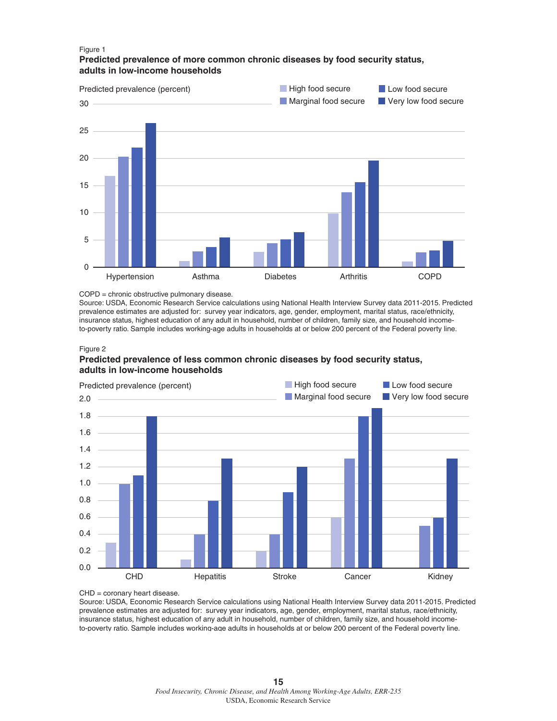#### Figure 1 **Predicted prevalence of more common chronic diseases by food security status, adults in low-income households**



#### COPD = chronic obstructive pulmonary disease.

Source: USDA, Economic Research Service calculations using National Health Interview Survey data 2011-2015. Predicted prevalence estimates are adjusted for: survey year indicators, age, gender, employment, marital status, race/ethnicity, insurance status, highest education of any adult in household, number of children, family size, and household incometo-poverty ratio. Sample includes working-age adults in households at or below 200 percent of the Federal poverty line.

#### Figure 2

### **Predicted prevalence of less common chronic diseases by food security status, adults in low-income households**



CHD = coronary heart disease.

Source: USDA, Economic Research Service calculations using National Health Interview Survey data 2011-2015. Predicted prevalence estimates are adjusted for: survey year indicators, age, gender, employment, marital status, race/ethnicity, insurance status, highest education of any adult in household, number of children, family size, and household incometo-poverty ratio. Sample includes working-age adults in households at or below 200 percent of the Federal poverty line.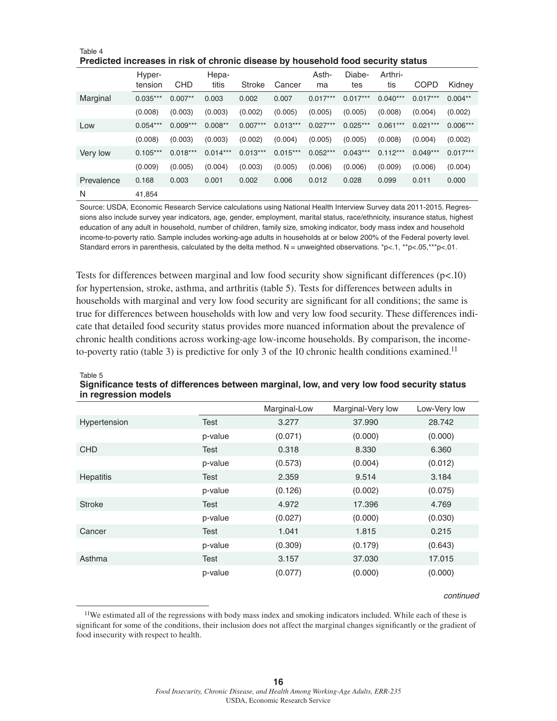|            | Hyper-     |            | Hepa-      |               |            | Asth-      | Diabe-     | Arthri-    |             |            |
|------------|------------|------------|------------|---------------|------------|------------|------------|------------|-------------|------------|
|            | tension    | <b>CHD</b> | titis      | <b>Stroke</b> | Cancer     | ma         | tes        | tis        | <b>COPD</b> | Kidney     |
| Marginal   | $0.035***$ | $0.007**$  | 0.003      | 0.002         | 0.007      | $0.017***$ | $0.017***$ | $0.040***$ | $0.017***$  | $0.004**$  |
|            | (0.008)    | (0.003)    | (0.003)    | (0.002)       | (0.005)    | (0.005)    | (0.005)    | (0.008)    | (0.004)     | (0.002)    |
| Low        | $0.054***$ | $0.009***$ | $0.008**$  | $0.007***$    | $0.013***$ | $0.027***$ | $0.025***$ | $0.061***$ | $0.021***$  | $0.006***$ |
|            | (0.008)    | (0.003)    | (0.003)    | (0.002)       | (0.004)    | (0.005)    | (0.005)    | (0.008)    | (0.004)     | (0.002)    |
| Very low   | $0.105***$ | $0.018***$ | $0.014***$ | $0.013***$    | $0.015***$ | $0.052***$ | $0.043***$ | $0.112***$ | $0.049***$  | $0.017***$ |
|            | (0.009)    | (0.005)    | (0.004)    | (0.003)       | (0.005)    | (0.006)    | (0.006)    | (0.009)    | (0.006)     | (0.004)    |
| Prevalence | 0.168      | 0.003      | 0.001      | 0.002         | 0.006      | 0.012      | 0.028      | 0.099      | 0.011       | 0.000      |
| N          | 41.854     |            |            |               |            |            |            |            |             |            |

Table 4 **Predicted increases in risk of chronic disease by household food security status**

Source: USDA, Economic Research Service calculations using National Health Interview Survey data 2011-2015. Regressions also include survey year indicators, age, gender, employment, marital status, race/ethnicity, insurance status, highest education of any adult in household, number of children, family size, smoking indicator, body mass index and household income-to-poverty ratio. Sample includes working-age adults in households at or below 200% of the Federal poverty level. Standard errors in parenthesis, calculated by the delta method. N = unweighted observations. \*p<.1, \*\*p<.05,\*\*\*p<.01.

Tests for differences between marginal and low food security show significant differences (p<.10) for hypertension, stroke, asthma, and arthritis (table 5). Tests for differences between adults in households with marginal and very low food security are significant for all conditions; the same is true for differences between households with low and very low food security. These differences indicate that detailed food security status provides more nuanced information about the prevalence of chronic health conditions across working-age low-income households. By comparison, the incometo-poverty ratio (table 3) is predictive for only 3 of the 10 chronic health conditions examined.<sup>11</sup>

| . <del>.</del> |         |              |                   |              |  |
|----------------|---------|--------------|-------------------|--------------|--|
|                |         | Marginal-Low | Marginal-Very low | Low-Very low |  |
| Hypertension   | Test    | 3.277        | 37.990            | 28.742       |  |
|                | p-value | (0.071)      | (0.000)           | (0.000)      |  |
| <b>CHD</b>     | Test    | 0.318        | 8.330             | 6.360        |  |
|                | p-value | (0.573)      | (0.004)           | (0.012)      |  |
| Hepatitis      | Test    | 2.359        | 9.514             | 3.184        |  |
|                | p-value | (0.126)      | (0.002)           | (0.075)      |  |
| <b>Stroke</b>  | Test    | 4.972        | 17.396            | 4.769        |  |
|                | p-value | (0.027)      | (0.000)           | (0.030)      |  |
| Cancer         | Test    | 1.041        | 1.815             | 0.215        |  |
|                | p-value | (0.309)      | (0.179)           | (0.643)      |  |
| Asthma         | Test    | 3.157        | 37,030            | 17.015       |  |
|                | p-value | (0.077)      | (0.000)           | (0.000)      |  |

#### Table 5 **Significance tests of differences between marginal, low, and very low food security status in regression models** *- continued*

#### *continued*

<sup>&</sup>lt;sup>11</sup>We estimated all of the regressions with body mass index and smoking indicators included. While each of these is significant for some of the conditions, their inclusion does not affect the marginal changes significantly or the gradient of food insecurity with respect to health.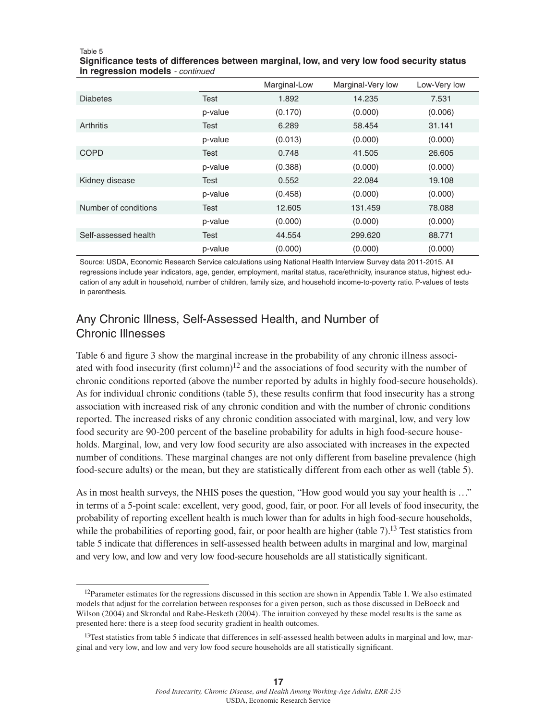#### Table 5

**Significance tests of differences between marginal, low, and very low food security status in regression models** *- continued*

|                      |         | Marginal-Low | Marginal-Very low | Low-Very low |
|----------------------|---------|--------------|-------------------|--------------|
| <b>Diabetes</b>      | Test    | 1.892        | 14.235            | 7.531        |
|                      | p-value | (0.170)      | (0.000)           | (0.006)      |
| Arthritis            | Test    | 6.289        | 58.454            | 31.141       |
|                      | p-value | (0.013)      | (0.000)           | (0.000)      |
| <b>COPD</b>          | Test    | 0.748        | 41.505            | 26,605       |
|                      | p-value | (0.388)      | (0.000)           | (0.000)      |
| Kidney disease       | Test    | 0.552        | 22.084            | 19.108       |
|                      | p-value | (0.458)      | (0.000)           | (0.000)      |
| Number of conditions | Test    | 12.605       | 131.459           | 78,088       |
|                      | p-value | (0.000)      | (0.000)           | (0.000)      |
| Self-assessed health | Test    | 44.554       | 299.620           | 88.771       |
|                      | p-value | (0.000)      | (0.000)           | (0.000)      |

Source: USDA, Economic Research Service calculations using National Health Interview Survey data 2011-2015. All regressions include year indicators, age, gender, employment, marital status, race/ethnicity, insurance status, highest education of any adult in household, number of children, family size, and household income-to-poverty ratio. P-values of tests in parenthesis.

## Any Chronic Illness, Self-Assessed Health, and Number of Chronic Illnesses

Table 6 and figure 3 show the marginal increase in the probability of any chronic illness associated with food insecurity (first column)<sup>12</sup> and the associations of food security with the number of chronic conditions reported (above the number reported by adults in highly food-secure households). As for individual chronic conditions (table 5), these results confirm that food insecurity has a strong association with increased risk of any chronic condition and with the number of chronic conditions reported. The increased risks of any chronic condition associated with marginal, low, and very low food security are 90-200 percent of the baseline probability for adults in high food-secure households. Marginal, low, and very low food security are also associated with increases in the expected number of conditions. These marginal changes are not only different from baseline prevalence (high food-secure adults) or the mean, but they are statistically different from each other as well (table 5).

As in most health surveys, the NHIS poses the question, "How good would you say your health is …" in terms of a 5-point scale: excellent, very good, good, fair, or poor. For all levels of food insecurity, the probability of reporting excellent health is much lower than for adults in high food-secure households, while the probabilities of reporting good, fair, or poor health are higher (table 7).<sup>13</sup> Test statistics from table 5 indicate that differences in self-assessed health between adults in marginal and low, marginal and very low, and low and very low food-secure households are all statistically significant.

 $12$ Parameter estimates for the regressions discussed in this section are shown in Appendix Table 1. We also estimated models that adjust for the correlation between responses for a given person, such as those discussed in DeBoeck and Wilson (2004) and Skrondal and Rabe-Hesketh (2004). The intuition conveyed by these model results is the same as presented here: there is a steep food security gradient in health outcomes.

 $13$ Test statistics from table 5 indicate that differences in self-assessed health between adults in marginal and low, marginal and very low, and low and very low food secure households are all statistically significant.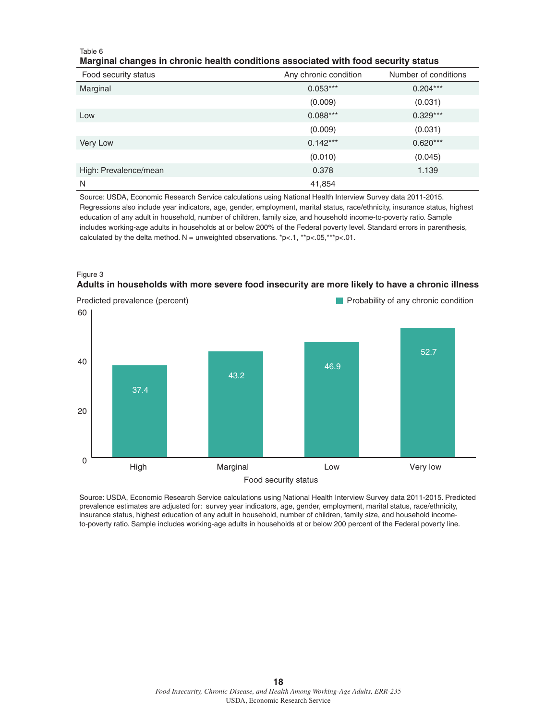#### Table 6

#### **Marginal changes in chronic health conditions associated with food security status**

| Food security status  | Any chronic condition | Number of conditions |
|-----------------------|-----------------------|----------------------|
| Marginal              | $0.053***$            | $0.204***$           |
|                       | (0.009)               | (0.031)              |
| Low                   | $0.088***$            | $0.329***$           |
|                       | (0.009)               | (0.031)              |
| Very Low              | $0.142***$            | $0.620***$           |
|                       | (0.010)               | (0.045)              |
| High: Prevalence/mean | 0.378                 | 1.139                |
| N                     | 41,854                |                      |

Source: USDA, Economic Research Service calculations using National Health Interview Survey data 2011-2015. Regressions also include year indicators, age, gender, employment, marital status, race/ethnicity, insurance status, highest education of any adult in household, number of children, family size, and household income-to-poverty ratio. Sample includes working-age adults in households at or below 200% of the Federal poverty level. Standard errors in parenthesis, calculated by the delta method. N = unweighted observations. \*p<.1, \*\*p<.05, \*\*\*p<.01.





Source: USDA, Economic Research Service calculations using National Health Interview Survey data 2011-2015. Predicted prevalence estimates are adjusted for: survey year indicators, age, gender, employment, marital status, race/ethnicity, insurance status, highest education of any adult in household, number of children, family size, and household incometo-poverty ratio. Sample includes working-age adults in households at or below 200 percent of the Federal poverty line.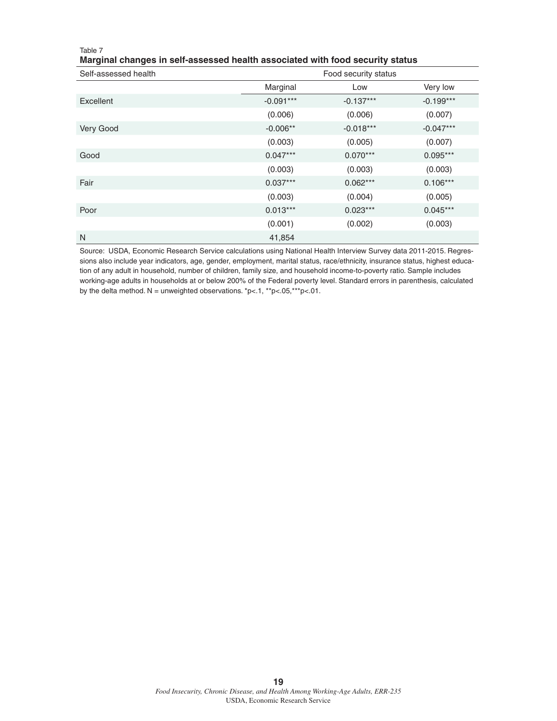| ັ<br>ັ<br>Self-assessed health | Food security status |             |             |  |
|--------------------------------|----------------------|-------------|-------------|--|
|                                | Marginal             | Low         | Very low    |  |
| Excellent                      | $-0.091***$          | $-0.137***$ | $-0.199***$ |  |
|                                | (0.006)              | (0.006)     | (0.007)     |  |
| Very Good                      | $-0.006**$           | $-0.018***$ | $-0.047***$ |  |
|                                | (0.003)              | (0.005)     | (0.007)     |  |
| Good                           | $0.047***$           | $0.070***$  | $0.095***$  |  |
|                                | (0.003)              | (0.003)     | (0.003)     |  |
| Fair                           | $0.037***$           | $0.062***$  | $0.106***$  |  |
|                                | (0.003)              | (0.004)     | (0.005)     |  |
| Poor                           | $0.013***$           | $0.023***$  | $0.045***$  |  |
|                                | (0.001)              | (0.002)     | (0.003)     |  |
| N                              | 41,854               |             |             |  |

#### Table 7 **Marginal changes in self-assessed health associated with food security status**

Source: USDA, Economic Research Service calculations using National Health Interview Survey data 2011-2015. Regressions also include year indicators, age, gender, employment, marital status, race/ethnicity, insurance status, highest education of any adult in household, number of children, family size, and household income-to-poverty ratio. Sample includes working-age adults in households at or below 200% of the Federal poverty level. Standard errors in parenthesis, calculated by the delta method. N = unweighted observations.  $p<0.1$ ,  $p<0.05$ , \*\*\*p<.01.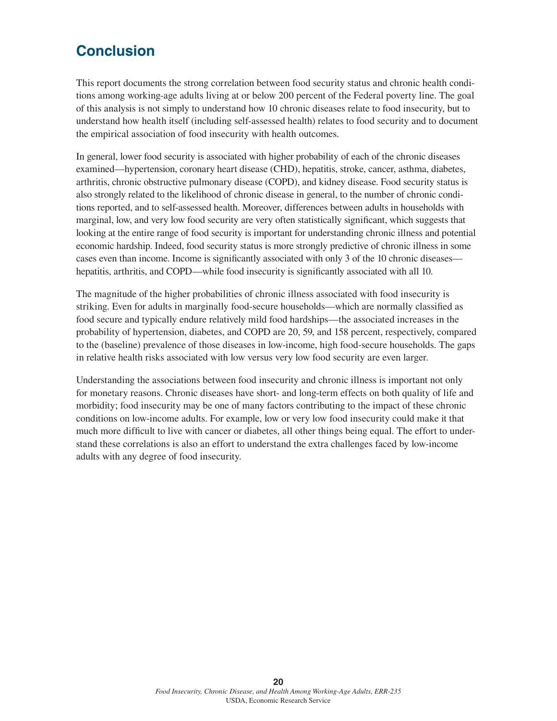## **Conclusion**

This report documents the strong correlation between food security status and chronic health conditions among working-age adults living at or below 200 percent of the Federal poverty line. The goal of this analysis is not simply to understand how 10 chronic diseases relate to food insecurity, but to understand how health itself (including self-assessed health) relates to food security and to document the empirical association of food insecurity with health outcomes.

In general, lower food security is associated with higher probability of each of the chronic diseases examined—hypertension, coronary heart disease (CHD), hepatitis, stroke, cancer, asthma, diabetes, arthritis, chronic obstructive pulmonary disease (COPD), and kidney disease. Food security status is also strongly related to the likelihood of chronic disease in general, to the number of chronic conditions reported, and to self-assessed health. Moreover, differences between adults in households with marginal, low, and very low food security are very often statistically significant, which suggests that looking at the entire range of food security is important for understanding chronic illness and potential economic hardship. Indeed, food security status is more strongly predictive of chronic illness in some cases even than income. Income is significantly associated with only 3 of the 10 chronic diseases hepatitis, arthritis, and COPD—while food insecurity is significantly associated with all 10.

The magnitude of the higher probabilities of chronic illness associated with food insecurity is striking. Even for adults in marginally food-secure households—which are normally classified as food secure and typically endure relatively mild food hardships—the associated increases in the probability of hypertension, diabetes, and COPD are 20, 59, and 158 percent, respectively, compared to the (baseline) prevalence of those diseases in low-income, high food-secure households. The gaps in relative health risks associated with low versus very low food security are even larger.

Understanding the associations between food insecurity and chronic illness is important not only for monetary reasons. Chronic diseases have short- and long-term effects on both quality of life and morbidity; food insecurity may be one of many factors contributing to the impact of these chronic conditions on low-income adults. For example, low or very low food insecurity could make it that much more difficult to live with cancer or diabetes, all other things being equal. The effort to understand these correlations is also an effort to understand the extra challenges faced by low-income adults with any degree of food insecurity.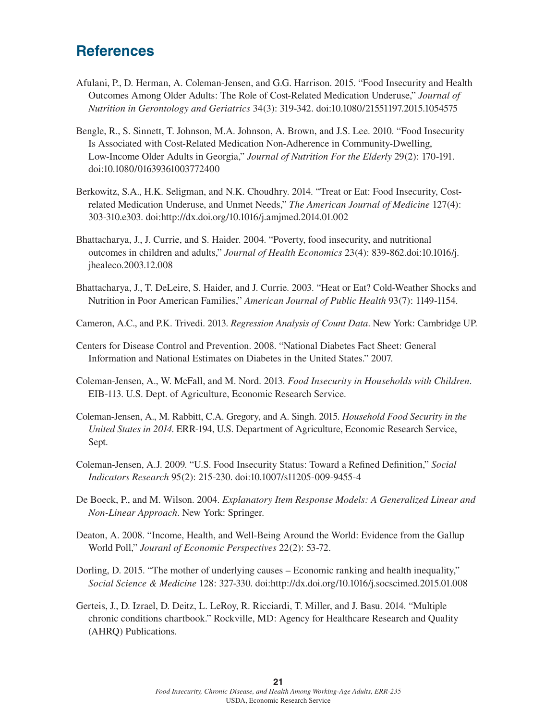## **References**

- Afulani, P., D. Herman, A. Coleman-Jensen, and G.G. Harrison. 2015. "Food Insecurity and Health Outcomes Among Older Adults: The Role of Cost-Related Medication Underuse," *Journal of Nutrition in Gerontology and Geriatrics* 34(3): 319-342. doi:10.1080/21551197.2015.1054575
- Bengle, R., S. Sinnett, T. Johnson, M.A. Johnson, A. Brown, and J.S. Lee. 2010. "Food Insecurity Is Associated with Cost-Related Medication Non-Adherence in Community-Dwelling, Low-Income Older Adults in Georgia," *Journal of Nutrition For the Elderly* 29(2): 170-191. doi:10.1080/01639361003772400
- Berkowitz, S.A., H.K. Seligman, and N.K. Choudhry. 2014. "Treat or Eat: Food Insecurity, Costrelated Medication Underuse, and Unmet Needs," *The American Journal of Medicine* 127(4): 303-310.e303. doi:http://dx.doi.org/10.1016/j.amjmed.2014.01.002
- Bhattacharya, J., J. Currie, and S. Haider. 2004. "Poverty, food insecurity, and nutritional outcomes in children and adults," *Journal of Health Economics* 23(4): 839-862.doi:10.1016/j. jhealeco.2003.12.008
- Bhattacharya, J., T. DeLeire, S. Haider, and J. Currie. 2003. "Heat or Eat? Cold-Weather Shocks and Nutrition in Poor American Families," *American Journal of Public Health* 93(7): 1149-1154.
- Cameron, A.C., and P.K. Trivedi. 2013. *Regression Analysis of Count Data*. New York: Cambridge UP.
- Centers for Disease Control and Prevention. 2008. "National Diabetes Fact Sheet: General Information and National Estimates on Diabetes in the United States." 2007.
- Coleman-Jensen, A., W. McFall, and M. Nord. 2013. *Food Insecurity in Households with Children*. EIB-113. U.S. Dept. of Agriculture, Economic Research Service.
- Coleman-Jensen, A., M. Rabbitt, C.A. Gregory, and A. Singh. 2015. *Household Food Security in the United States in 2014*. ERR-194, U.S. Department of Agriculture, Economic Research Service, Sept.
- Coleman-Jensen, A.J. 2009. "U.S. Food Insecurity Status: Toward a Refined Definition," *Social Indicators Research* 95(2): 215-230. doi:10.1007/s11205-009-9455-4
- De Boeck, P., and M. Wilson. 2004. *Explanatory Item Response Models: A Generalized Linear and Non-Linear Approach*. New York: Springer.
- Deaton, A. 2008. "Income, Health, and Well-Being Around the World: Evidence from the Gallup World Poll," *Jouranl of Economic Perspectives* 22(2): 53-72.
- Dorling, D. 2015. "The mother of underlying causes Economic ranking and health inequality," *Social Science & Medicine* 128: 327-330. doi:http://dx.doi.org/10.1016/j.socscimed.2015.01.008
- Gerteis, J., D. Izrael, D. Deitz, L. LeRoy, R. Ricciardi, T. Miller, and J. Basu. 2014. "Multiple chronic conditions chartbook." Rockville, MD: Agency for Healthcare Research and Quality (AHRQ) Publications.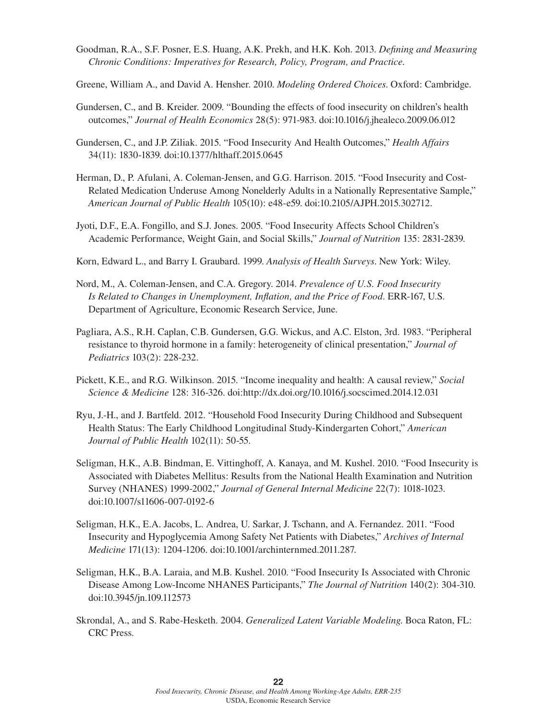- Goodman, R.A., S.F. Posner, E.S. Huang, A.K. Prekh, and H.K. Koh. 2013. *Defining and Measuring Chronic Conditions: Imperatives for Research, Policy, Program, and Practice*.
- Greene, William A., and David A. Hensher. 2010. *Modeling Ordered Choices*. Oxford: Cambridge.
- Gundersen, C., and B. Kreider. 2009. "Bounding the effects of food insecurity on children's health outcomes," *Journal of Health Economics* 28(5): 971-983. doi:10.1016/j.jhealeco.2009.06.012
- Gundersen, C., and J.P. Ziliak. 2015. "Food Insecurity And Health Outcomes," *Health Affairs* 34(11): 1830-1839. doi:10.1377/hlthaff.2015.0645
- Herman, D., P. Afulani, A. Coleman-Jensen, and G.G. Harrison. 2015. "Food Insecurity and Cost-Related Medication Underuse Among Nonelderly Adults in a Nationally Representative Sample," *American Journal of Public Health* 105(10): e48-e59. doi:10.2105/AJPH.2015.302712.
- Jyoti, D.F., E.A. Fongillo, and S.J. Jones. 2005. "Food Insecurity Affects School Children's Academic Performance, Weight Gain, and Social Skills," *Journal of Nutrition* 135: 2831-2839.
- Korn, Edward L., and Barry I. Graubard. 1999. *Analysis of Health Surveys*. New York: Wiley.
- Nord, M., A. Coleman-Jensen, and C.A. Gregory. 2014. *Prevalence of U.S. Food Insecurity Is Related to Changes in Unemployment, Inflation, and the Price of Food*. ERR-167, U.S. Department of Agriculture, Economic Research Service, June.
- Pagliara, A.S., R.H. Caplan, C.B. Gundersen, G.G. Wickus, and A.C. Elston, 3rd. 1983. "Peripheral resistance to thyroid hormone in a family: heterogeneity of clinical presentation," *Journal of Pediatrics* 103(2): 228-232.
- Pickett, K.E., and R.G. Wilkinson. 2015. "Income inequality and health: A causal review," *Social Science & Medicine* 128: 316-326. doi:http://dx.doi.org/10.1016/j.socscimed.2014.12.031
- Ryu, J.-H., and J. Bartfeld. 2012. "Household Food Insecurity During Childhood and Subsequent Health Status: The Early Childhood Longitudinal Study-Kindergarten Cohort," *American Journal of Public Health* 102(11): 50-55.
- Seligman, H.K., A.B. Bindman, E. Vittinghoff, A. Kanaya, and M. Kushel. 2010. "Food Insecurity is Associated with Diabetes Mellitus: Results from the National Health Examination and Nutrition Survey (NHANES) 1999-2002," *Journal of General Internal Medicine* 22(7): 1018-1023. doi:10.1007/s11606-007-0192-6
- Seligman, H.K., E.A. Jacobs, L. Andrea, U. Sarkar, J. Tschann, and A. Fernandez. 2011. "Food Insecurity and Hypoglycemia Among Safety Net Patients with Diabetes," *Archives of Internal Medicine* 171(13): 1204-1206. doi:10.1001/archinternmed.2011.287.
- Seligman, H.K., B.A. Laraia, and M.B. Kushel. 2010. "Food Insecurity Is Associated with Chronic Disease Among Low-Income NHANES Participants," *The Journal of Nutrition* 140(2): 304-310. doi:10.3945/jn.109.112573
- Skrondal, A., and S. Rabe-Hesketh. 2004. *Generalized Latent Variable Modeling*. Boca Raton, FL: CRC Press.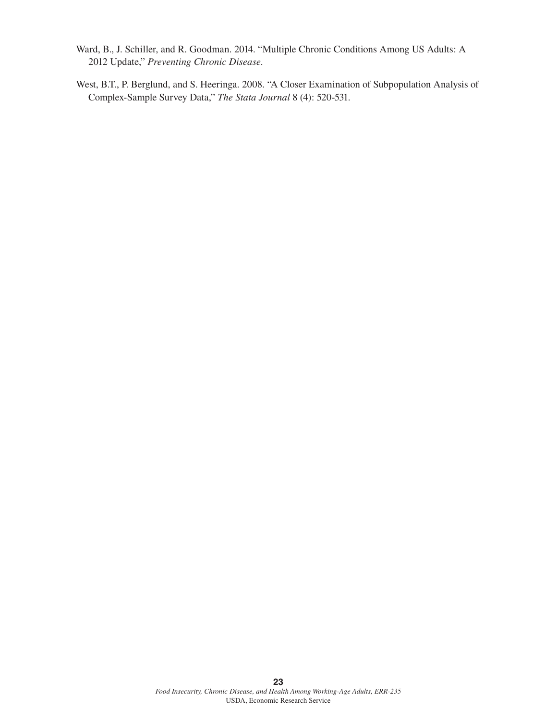- Ward, B., J. Schiller, and R. Goodman. 2014. "Multiple Chronic Conditions Among US Adults: A 2012 Update," *Preventing Chronic Disease*.
- West, B.T., P. Berglund, and S. Heeringa. 2008. "A Closer Examination of Subpopulation Analysis of Complex-Sample Survey Data," *The Stata Journal* 8 (4): 520-531.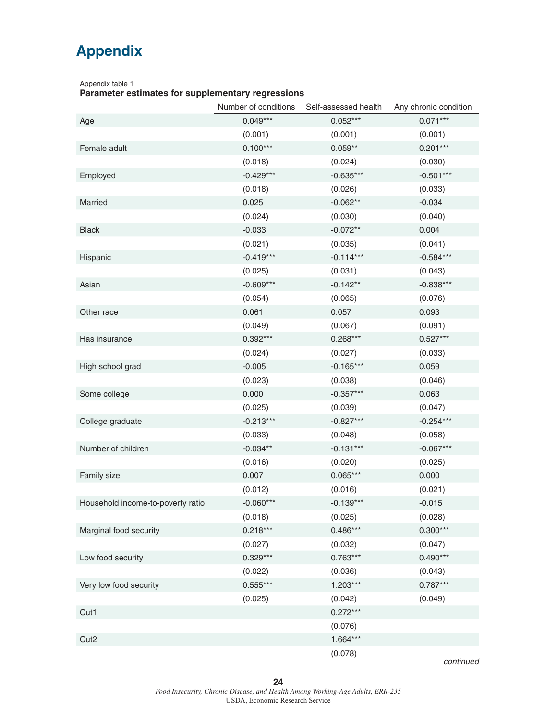# **Appendix**

Appendix table 1

**Parameter estimates for supplementary regressions** *- continued*

|                                   | Number of conditions | Self-assessed health | Any chronic condition |
|-----------------------------------|----------------------|----------------------|-----------------------|
| Age                               | $0.049***$           | $0.052***$           | $0.071***$            |
|                                   | (0.001)              | (0.001)              | (0.001)               |
| Female adult                      | $0.100***$           | $0.059**$            | $0.201***$            |
|                                   | (0.018)              | (0.024)              | (0.030)               |
| Employed                          | $-0.429***$          | $-0.635***$          | $-0.501***$           |
|                                   | (0.018)              | (0.026)              | (0.033)               |
| Married                           | 0.025                | $-0.062**$           | $-0.034$              |
|                                   | (0.024)              | (0.030)              | (0.040)               |
| <b>Black</b>                      | $-0.033$             | $-0.072**$           | 0.004                 |
|                                   | (0.021)              | (0.035)              | (0.041)               |
| Hispanic                          | $-0.419***$          | $-0.114***$          | $-0.584***$           |
|                                   | (0.025)              | (0.031)              | (0.043)               |
| Asian                             | $-0.609***$          | $-0.142**$           | $-0.838***$           |
|                                   | (0.054)              | (0.065)              | (0.076)               |
| Other race                        | 0.061                | 0.057                | 0.093                 |
|                                   | (0.049)              | (0.067)              | (0.091)               |
| Has insurance                     | $0.392***$           | $0.268***$           | $0.527***$            |
|                                   | (0.024)              | (0.027)              | (0.033)               |
| High school grad                  | $-0.005$             | $-0.165***$          | 0.059                 |
|                                   | (0.023)              | (0.038)              | (0.046)               |
| Some college                      | 0.000                | $-0.357***$          | 0.063                 |
|                                   | (0.025)              | (0.039)              | (0.047)               |
| College graduate                  | $-0.213***$          | $-0.827***$          | $-0.254***$           |
|                                   | (0.033)              | (0.048)              | (0.058)               |
| Number of children                | $-0.034**$           | $-0.131***$          | $-0.067***$           |
|                                   | (0.016)              | (0.020)              | (0.025)               |
| Family size                       | 0.007                | $0.065***$           | 0.000                 |
|                                   | (0.012)              | (0.016)              | (0.021)               |
| Household income-to-poverty ratio | $-0.060***$          | $-0.139***$          | $-0.015$              |
|                                   | (0.018)              | (0.025)              | (0.028)               |
| Marginal food security            | $0.218***$           | $0.486***$           | $0.300***$            |
|                                   | (0.027)              | (0.032)              | (0.047)               |
| Low food security                 | $0.329***$           | $0.763***$           | $0.490***$            |
|                                   | (0.022)              | (0.036)              | (0.043)               |
| Very low food security            | $0.555***$           | $1.203***$           | $0.787***$            |
|                                   | (0.025)              | (0.042)              | (0.049)               |
| Cut1                              |                      | $0.272***$           |                       |
|                                   |                      | (0.076)              |                       |
| Cut <sub>2</sub>                  |                      | $1.664***$           |                       |
|                                   |                      | (0.078)              |                       |

*continued*